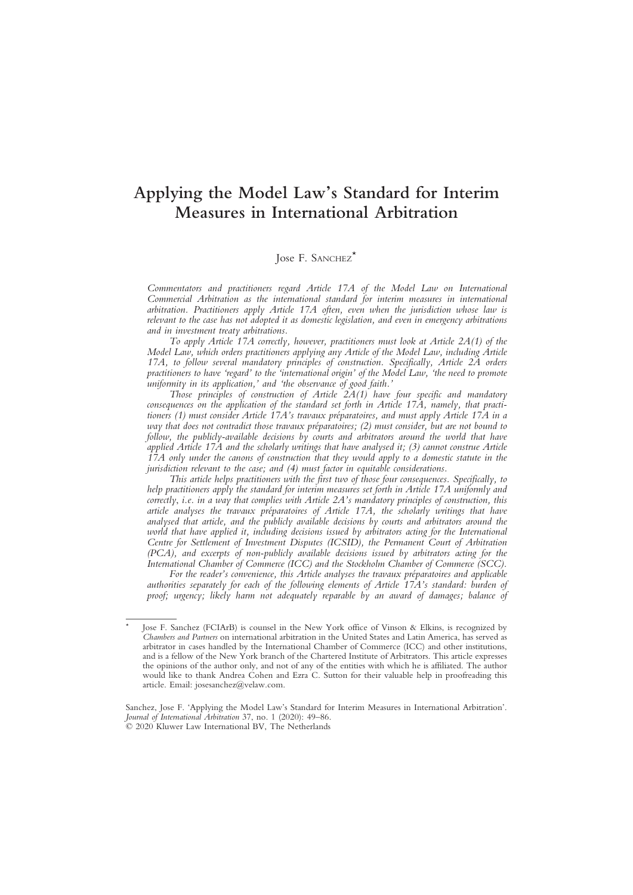# Applying the Model Law's Standard for Interim Measures in International Arbitration

# Jose F. SANCHEZ<sup>\*</sup>

Commentators and practitioners regard Article 17A of the Model Law on International Commercial Arbitration as the international standard for interim measures in international arbitration. Practitioners apply Article 17A often, even when the jurisdiction whose law is relevant to the case has not adopted it as domestic legislation, and even in emergency arbitrations and in investment treaty arbitrations.

To apply Article 17A correctly, however, practitioners must look at Article 2A(1) of the Model Law, which orders practitioners applying any Article of the Model Law, including Article 17A, to follow several mandatory principles of construction. Specifically, Article 2A orders practitioners to have 'regard' to the 'international origin' of the Model Law, 'the need to promote uniformity in its application,' and 'the observance of good faith.'

Those principles of construction of Article  $2A(1)$  have four specific and mandatory consequences on the application of the standard set forth in Article 17A, namely, that practitioners (1) must consider Article 17A's travaux préparatoires, and must apply Article 17A in a way that does not contradict those travaux préparatoires; (2) must consider, but are not bound to follow, the publicly-available decisions by courts and arbitrators around the world that have applied Article 17A and the scholarly writings that have analysed it; (3) cannot construe Article 17A only under the canons of construction that they would apply to a domestic statute in the jurisdiction relevant to the case; and (4) must factor in equitable considerations.

This article helps practitioners with the first two of those four consequences. Specifically, to help practitioners apply the standard for interim measures set forth in Article 17A uniformly and correctly, i.e. in a way that complies with Article  $2A$ 's mandatory principles of construction, this article analyses the travaux préparatoires of Article 17A, the scholarly writings that have analysed that article, and the publicly available decisions by courts and arbitrators around the world that have applied it, including decisions issued by arbitrators acting for the International Centre for Settlement of Investment Disputes (ICSID), the Permanent Court of Arbitration (PCA), and excerpts of non-publicly available decisions issued by arbitrators acting for the International Chamber of Commerce (ICC) and the Stockholm Chamber of Commerce (SCC).

For the reader's convenience, this Article analyses the travaux préparatoires and applicable authorities separately for each of the following elements of Article 17A's standard: burden of proof; urgency; likely harm not adequately reparable by an award of damages; balance of

Jose F. Sanchez (FCIArB) is counsel in the New York office of Vinson & Elkins, is recognized by Chambers and Partners on international arbitration in the United States and Latin America, has served as arbitrator in cases handled by the International Chamber of Commerce (ICC) and other institutions, and is a fellow of the New York branch of the Chartered Institute of Arbitrators. This article expresses the opinions of the author only, and not of any of the entities with which he is affiliated. The author would like to thank Andrea Cohen and Ezra C. Sutton for their valuable help in proofreading this article. Email: josesanchez@velaw.com.

Sanchez, Jose F. 'Applying the Model Law's Standard for Interim Measures in International Arbitration'. Journal of International Arbitration 37, no. 1 (2020): 49–86. © 2020 Kluwer Law International BV, The Netherlands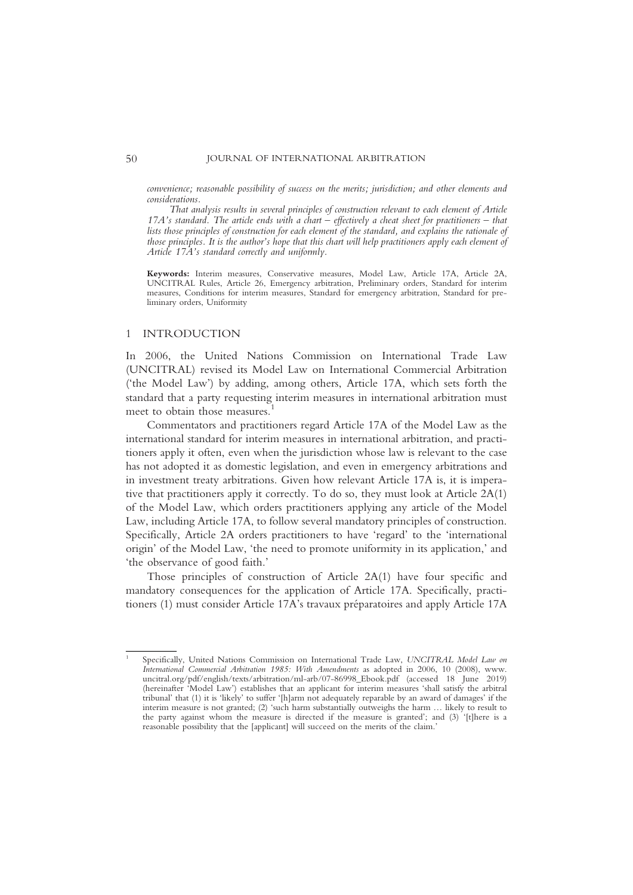convenience; reasonable possibility of success on the merits; jurisdiction; and other elements and considerations.

That analysis results in several principles of construction relevant to each element of Article 17A's standard. The article ends with a chart – effectively a cheat sheet for practitioners – that lists those principles of construction for each element of the standard, and explains the rationale of those principles. It is the author's hope that this chart will help practitioners apply each element of Article 17A's standard correctly and uniformly.

Keywords: Interim measures, Conservative measures, Model Law, Article 17A, Article 2A, UNCITRAL Rules, Article 26, Emergency arbitration, Preliminary orders, Standard for interim measures, Conditions for interim measures, Standard for emergency arbitration, Standard for preliminary orders, Uniformity

#### 1 INTRODUCTION

In 2006, the United Nations Commission on International Trade Law (UNCITRAL) revised its Model Law on International Commercial Arbitration ('the Model Law') by adding, among others, Article 17A, which sets forth the standard that a party requesting interim measures in international arbitration must meet to obtain those measures.<sup>1</sup>

Commentators and practitioners regard Article 17A of the Model Law as the international standard for interim measures in international arbitration, and practitioners apply it often, even when the jurisdiction whose law is relevant to the case has not adopted it as domestic legislation, and even in emergency arbitrations and in investment treaty arbitrations. Given how relevant Article 17A is, it is imperative that practitioners apply it correctly. To do so, they must look at Article 2A(1) of the Model Law, which orders practitioners applying any article of the Model Law, including Article 17A, to follow several mandatory principles of construction. Specifically, Article 2A orders practitioners to have 'regard' to the 'international origin' of the Model Law, 'the need to promote uniformity in its application,' and 'the observance of good faith.'

Those principles of construction of Article 2A(1) have four specific and mandatory consequences for the application of Article 17A. Specifically, practitioners (1) must consider Article 17A's travaux préparatoires and apply Article 17A

Specifically, United Nations Commission on International Trade Law, UNCITRAL Model Law on International Commercial Arbitration 1985: With Amendments as adopted in 2006, 10 (2008), www. uncitral.org/pdf/english/texts/arbitration/ml-arb/07-86998\_Ebook.pdf (accessed 18 June 2019) (hereinafter 'Model Law') establishes that an applicant for interim measures 'shall satisfy the arbitral tribunal' that (1) it is 'likely' to suffer '[h]arm not adequately reparable by an award of damages' if the interim measure is not granted; (2) 'such harm substantially outweighs the harm … likely to result to the party against whom the measure is directed if the measure is granted'; and (3) '[t]here is a reasonable possibility that the [applicant] will succeed on the merits of the claim.'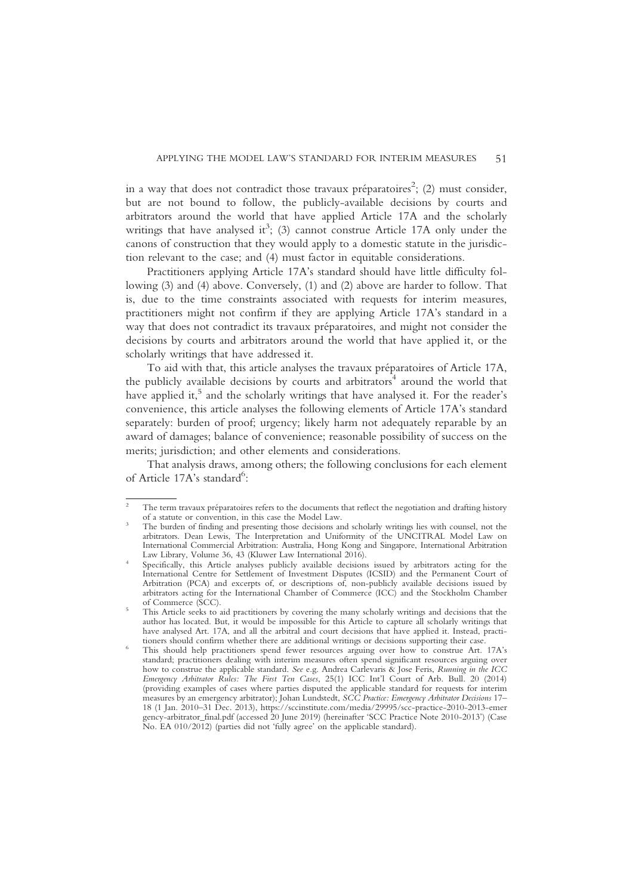in a way that does not contradict those travaux préparatoires $^2$ ; (2) must consider, but are not bound to follow, the publicly-available decisions by courts and arbitrators around the world that have applied Article 17A and the scholarly writings that have analysed it<sup>3</sup>; (3) cannot construe Article 17A only under the canons of construction that they would apply to a domestic statute in the jurisdiction relevant to the case; and (4) must factor in equitable considerations.

Practitioners applying Article 17A's standard should have little difficulty following (3) and (4) above. Conversely, (1) and (2) above are harder to follow. That is, due to the time constraints associated with requests for interim measures, practitioners might not confirm if they are applying Article 17A's standard in a way that does not contradict its travaux préparatoires, and might not consider the decisions by courts and arbitrators around the world that have applied it, or the scholarly writings that have addressed it.

To aid with that, this article analyses the travaux préparatoires of Article 17A, the publicly available decisions by courts and arbitrators<sup>4</sup> around the world that have applied it,<sup>5</sup> and the scholarly writings that have analysed it. For the reader's convenience, this article analyses the following elements of Article 17A's standard separately: burden of proof; urgency; likely harm not adequately reparable by an award of damages; balance of convenience; reasonable possibility of success on the merits; jurisdiction; and other elements and considerations.

That analysis draws, among others; the following conclusions for each element of Article 17A's standard<sup>6</sup>:

The term travaux préparatoires refers to the documents that reflect the negotiation and drafting history of a statute or convention, in this case the Model Law.

The burden of finding and presenting those decisions and scholarly writings lies with counsel, not the arbitrators. Dean Lewis, The Interpretation and Uniformity of the UNCITRAL Model Law on International Commercial Arbitration: Australia, Hong Kong and Singapore, International Arbitration

Specifically, this Article analyses publicly available decisions issued by arbitrators acting for the International Centre for Settlement of Investment Disputes (ICSID) and the Permanent Court of Arbitration (PCA) and excerpts of, or descriptions of, non-publicly available decisions issued by arbitrators acting for the International Chamber of Commerce (ICC) and the Stockholm Chamber

This Article seeks to aid practitioners by covering the many scholarly writings and decisions that the author has located. But, it would be impossible for this Article to capture all scholarly writings that have analysed Art. 17A, and all the arbitral and court decisions that have applied it. Instead, practitioners should confirm whether there are additional writings or decisions supporting their case.

This should help practitioners spend fewer resources arguing over how to construe Art. 17A's standard; practitioners dealing with interim measures often spend significant resources arguing over how to construe the applicable standard. See e.g. Andrea Carlevaris & Jose Feris, Running in the ICC Emergency Arbitrator Rules: The First Ten Cases, 25(1) ICC Int'l Court of Arb. Bull. 20 (2014) (providing examples of cases where parties disputed the applicable standard for requests for interim measures by an emergency arbitrator); Johan Lundstedt, SCC Practice: Emergency Arbitrator Decisions 17-18 (1 Jan. 2010–31 Dec. 2013), https://sccinstitute.com/media/29995/scc-practice-2010-2013-emer gency-arbitrator\_final.pdf (accessed 20 June 2019) (hereinafter 'SCC Practice Note 2010-2013') (Case No. EA 010/2012) (parties did not 'fully agree' on the applicable standard).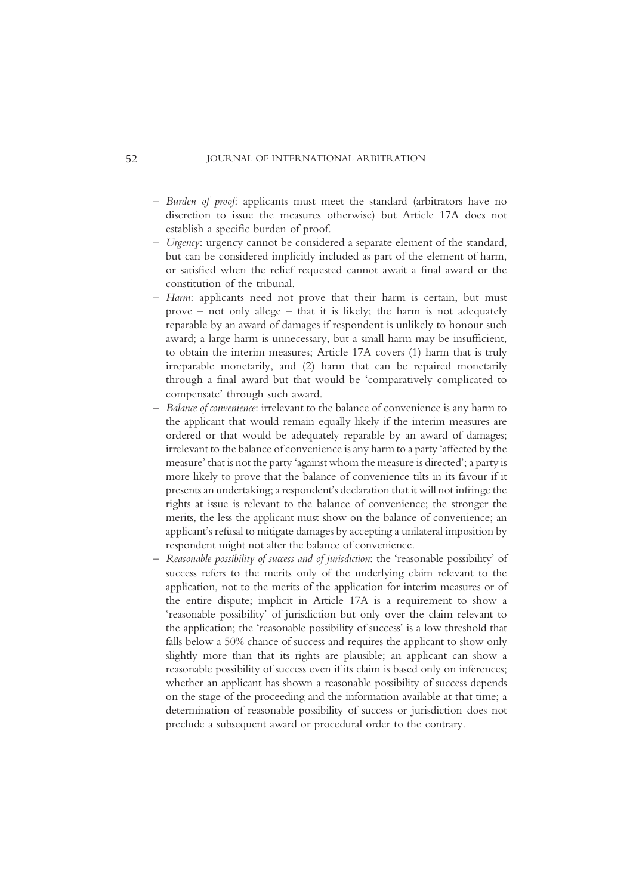- Burden of proof: applicants must meet the standard (arbitrators have no discretion to issue the measures otherwise) but Article 17A does not establish a specific burden of proof.
- Urgency: urgency cannot be considered a separate element of the standard, but can be considered implicitly included as part of the element of harm, or satisfied when the relief requested cannot await a final award or the constitution of the tribunal.
- Harm: applicants need not prove that their harm is certain, but must prove – not only allege – that it is likely; the harm is not adequately reparable by an award of damages if respondent is unlikely to honour such award; a large harm is unnecessary, but a small harm may be insufficient, to obtain the interim measures; Article 17A covers (1) harm that is truly irreparable monetarily, and (2) harm that can be repaired monetarily through a final award but that would be 'comparatively complicated to compensate' through such award.
- Balance of convenience: irrelevant to the balance of convenience is any harm to the applicant that would remain equally likely if the interim measures are ordered or that would be adequately reparable by an award of damages; irrelevant to the balance of convenience is any harm to a party 'affected by the measure' that is not the party 'against whom the measure is directed'; a party is more likely to prove that the balance of convenience tilts in its favour if it presents an undertaking; a respondent's declaration that it will not infringe the rights at issue is relevant to the balance of convenience; the stronger the merits, the less the applicant must show on the balance of convenience; an applicant's refusal to mitigate damages by accepting a unilateral imposition by respondent might not alter the balance of convenience.
- Reasonable possibility of success and of jurisdiction: the 'reasonable possibility' of success refers to the merits only of the underlying claim relevant to the application, not to the merits of the application for interim measures or of the entire dispute; implicit in Article 17A is a requirement to show a 'reasonable possibility' of jurisdiction but only over the claim relevant to the application; the 'reasonable possibility of success' is a low threshold that falls below a 50% chance of success and requires the applicant to show only slightly more than that its rights are plausible; an applicant can show a reasonable possibility of success even if its claim is based only on inferences; whether an applicant has shown a reasonable possibility of success depends on the stage of the proceeding and the information available at that time; a determination of reasonable possibility of success or jurisdiction does not preclude a subsequent award or procedural order to the contrary.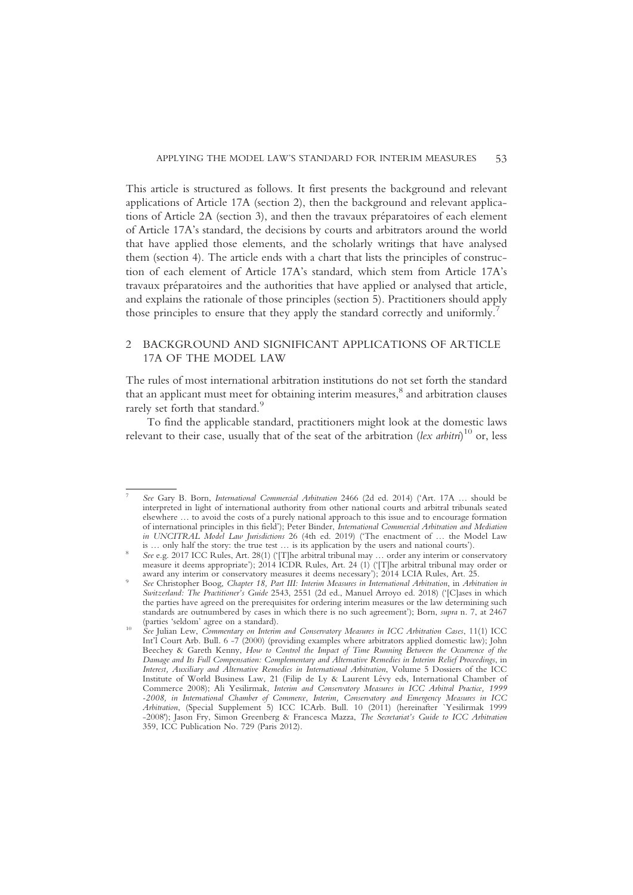This article is structured as follows. It first presents the background and relevant applications of Article 17A (section 2), then the background and relevant applications of Article 2A (section 3), and then the travaux préparatoires of each element of Article 17A's standard, the decisions by courts and arbitrators around the world that have applied those elements, and the scholarly writings that have analysed them (section 4). The article ends with a chart that lists the principles of construction of each element of Article 17A's standard, which stem from Article 17A's travaux préparatoires and the authorities that have applied or analysed that article, and explains the rationale of those principles (section 5). Practitioners should apply those principles to ensure that they apply the standard correctly and uniformly.<sup>7</sup>

# 2 BACKGROUND AND SIGNIFICANT APPLICATIONS OF ARTICLE 17A OF THE MODEL LAW

The rules of most international arbitration institutions do not set forth the standard that an applicant must meet for obtaining interim measures,<sup>8</sup> and arbitration clauses rarely set forth that standard.<sup>9</sup>

To find the applicable standard, practitioners might look at the domestic laws relevant to their case, usually that of the seat of the arbitration (lex arbitri)<sup>10</sup> or, less

<sup>7</sup> See Gary B. Born, International Commercial Arbitration 2466 (2d ed. 2014) ('Art. 17A … should be interpreted in light of international authority from other national courts and arbitral tribunals seated elsewhere … to avoid the costs of a purely national approach to this issue and to encourage formation of international principles in this field'); Peter Binder, International Commercial Arbitration and Mediation in UNCITRAL Model Law Jurisdictions 26 (4th ed. 2019) ('The enactment of ... the Model Law is ... only half the story: the true test ... is its application by the users and national courts').

See e.g. 2017 ICC Rules, Art. 28(1) ('[T]he arbitral tribunal may  $\ldots$  order any interim or conservatory measure it deems appropriate'); 2014 ICDR Rules, Art. 24 (1) ('[T]he arbitral tribunal may order or award any interim or conservatory measures it deems necessary'); 2014 LCIA Rules, Art. 25. See Christopher Boog, Chapter 18, Part III: Interim Measures in International Arbitration, in Arbitration in

Switzerland: The Practitioner's Guide 2543, 2551 (2d ed., Manuel Arroyo ed. 2018) ('[C]ases in which the parties have agreed on the prerequisites for ordering interim measures or the law determining such standards are outnumbered by cases in which there is no such agreement'); Born, supra n. 7, at 2467 (parties 'seldom' agree on a standard).<br>See Julian Lew, Commentary on Interim and Conservatory Measures in ICC Arbitration Cases, 11(1) ICC

Int'l Court Arb. Bull. 6 -7 (2000) (providing examples where arbitrators applied domestic law); John Beechey & Gareth Kenny, How to Control the Impact of Time Running Between the Occurrence of the Damage and Its Full Compensation: Complementary and Alternative Remedies in Interim Relief Proceedings, in Interest, Auxiliary and Alternative Remedies in International Arbitration, Volume 5 Dossiers of the ICC Institute of World Business Law, 21 (Filip de Ly & Laurent Lévy eds, International Chamber of Commerce 2008); Ali Yesilirmak, Interim and Conservatory Measures in ICC Arbitral Practice, 1999 -2008, in International Chamber of Commerce, Interim, Conservatory and Emergency Measures in ICC Arbitration, (Special Supplement 5) ICC ICArb. Bull. 10 (2011) (hereinafter `Yesilirmak 1999 -2008'); Jason Fry, Simon Greenberg & Francesca Mazza, The Secretariat's Guide to ICC Arbitration 359, ICC Publication No. 729 (Paris 2012).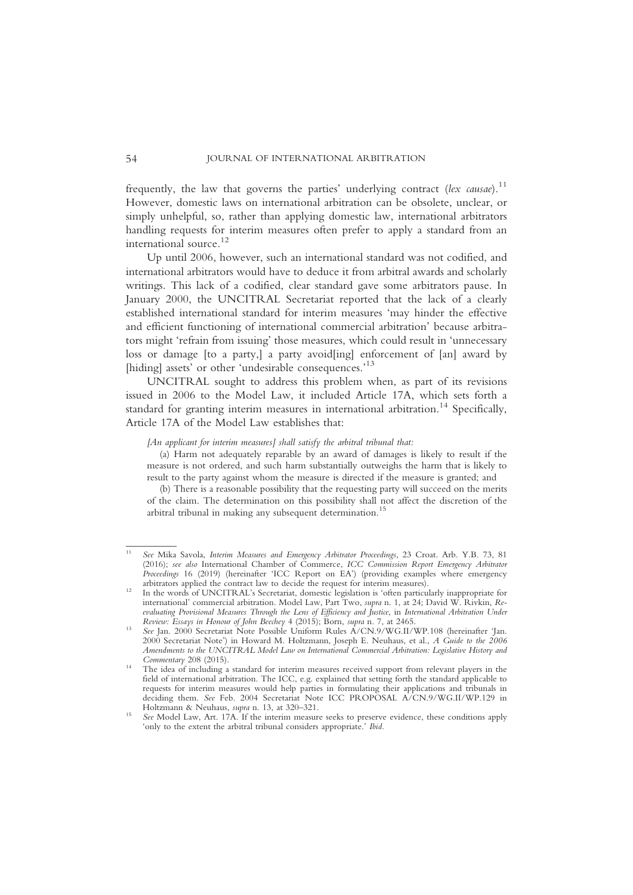frequently, the law that governs the parties' underlying contract (lex causae).<sup>11</sup> However, domestic laws on international arbitration can be obsolete, unclear, or simply unhelpful, so, rather than applying domestic law, international arbitrators handling requests for interim measures often prefer to apply a standard from an international source.<sup>12</sup>

Up until 2006, however, such an international standard was not codified, and international arbitrators would have to deduce it from arbitral awards and scholarly writings. This lack of a codified, clear standard gave some arbitrators pause. In January 2000, the UNCITRAL Secretariat reported that the lack of a clearly established international standard for interim measures 'may hinder the effective and efficient functioning of international commercial arbitration' because arbitrators might 'refrain from issuing' those measures, which could result in 'unnecessary loss or damage [to a party,] a party avoid[ing] enforcement of [an] award by [hiding] assets' or other 'undesirable consequences.'<sup>13</sup>

UNCITRAL sought to address this problem when, as part of its revisions issued in 2006 to the Model Law, it included Article 17A, which sets forth a standard for granting interim measures in international arbitration.<sup>14</sup> Specifically, Article 17A of the Model Law establishes that:

#### [An applicant for interim measures] shall satisfy the arbitral tribunal that:

(a) Harm not adequately reparable by an award of damages is likely to result if the measure is not ordered, and such harm substantially outweighs the harm that is likely to result to the party against whom the measure is directed if the measure is granted; and

(b) There is a reasonable possibility that the requesting party will succeed on the merits of the claim. The determination on this possibility shall not affect the discretion of the arbitral tribunal in making any subsequent determination.<sup>15</sup>

<sup>&</sup>lt;sup>11</sup> See Mika Savola, *Interim Measures and Emergency Arbitrator Proceedings*, 23 Croat. Arb. Y.B. 73, 81 (2016); see also International Chamber of Commerce, ICC Commission Report Emergency Arbitrator Proceedings 16 (2019) (hereinafter 'ICC Report on EA') (providing examples where emergency

arbitrators applied the contract law to decide the request for interim measures).<br>In the words of UNCITRAL's Secretariat, domestic legislation is 'often particularly inappropriate for international' commercial arbitration. Model Law, Part Two, supra n. 1, at 24; David W. Rivkin, Reevaluating Provisional Measures Through the Lens of Efficiency and Justice, in International Arbitration Under<br>Review: Essays in Honour of John Beechey 4 (2015); Born, supra n. 7, at 2465.

See Jan. 2000 Secretariat Note Possible Uniform Rules A/CN.9/WG.II/WP.108 (hereinafter 'Jan. 2000 Secretariat Note') in Howard M. Holtzmann, Joseph E. Neuhaus, et al., A Guide to the 2006 Amendments to the UNCITRAL Model Law on International Commercial Arbitration: Legislative History and

The idea of including a standard for interim measures received support from relevant players in the field of international arbitration. The ICC, e.g. explained that setting forth the standard applicable to requests for interim measures would help parties in formulating their applications and tribunals in deciding them. See Feb. 2004 Secretariat Note ICC PROPOSAL A/CN.9/WG.II/WP.129 in Holtzmann & Neuhaus. supra n. 13. at 320–321.

See Model Law, Art. 17A. If the interim measure seeks to preserve evidence, these conditions apply 'only to the extent the arbitral tribunal considers appropriate.' Ibid.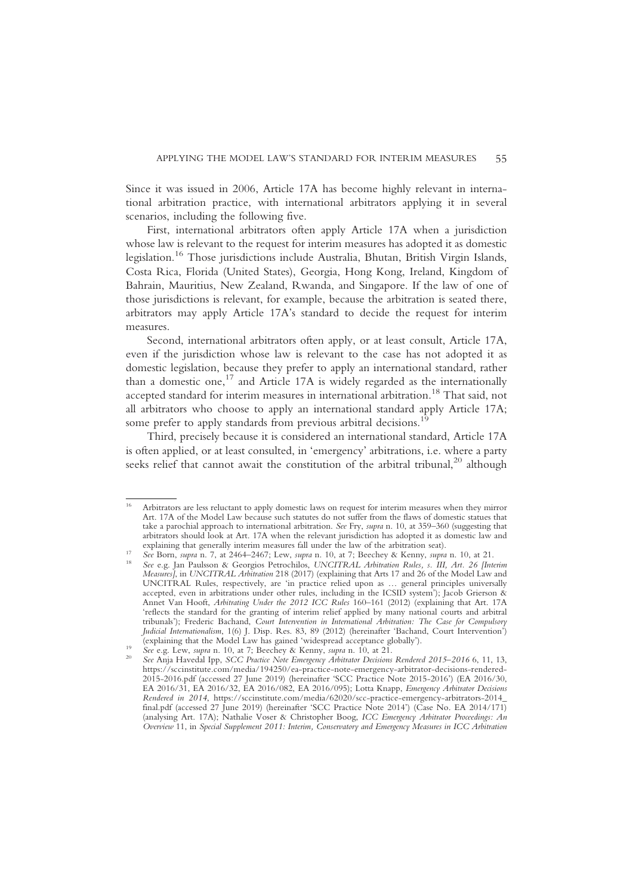Since it was issued in 2006, Article 17A has become highly relevant in international arbitration practice, with international arbitrators applying it in several scenarios, including the following five.

First, international arbitrators often apply Article 17A when a jurisdiction whose law is relevant to the request for interim measures has adopted it as domestic legislation.<sup>16</sup> Those jurisdictions include Australia, Bhutan, British Virgin Islands, Costa Rica, Florida (United States), Georgia, Hong Kong, Ireland, Kingdom of Bahrain, Mauritius, New Zealand, Rwanda, and Singapore. If the law of one of those jurisdictions is relevant, for example, because the arbitration is seated there, arbitrators may apply Article 17A's standard to decide the request for interim measures.

Second, international arbitrators often apply, or at least consult, Article 17A, even if the jurisdiction whose law is relevant to the case has not adopted it as domestic legislation, because they prefer to apply an international standard, rather than a domestic one,<sup>17</sup> and Article 17A is widely regarded as the internationally accepted standard for interim measures in international arbitration.<sup>18</sup> That said, not all arbitrators who choose to apply an international standard apply Article 17A; some prefer to apply standards from previous arbitral decisions.<sup>1</sup>

Third, precisely because it is considered an international standard, Article 17A is often applied, or at least consulted, in 'emergency' arbitrations, i.e. where a party seeks relief that cannot await the constitution of the arbitral tribunal,<sup>20</sup> although

<sup>16</sup> Arbitrators are less reluctant to apply domestic laws on request for interim measures when they mirror Art. 17A of the Model Law because such statutes do not suffer from the flaws of domestic statues that take a parochial approach to international arbitration. See Fry, supra n. 10, at 359–360 (suggesting that arbitrators should look at Art. 17A when the relevant jurisdiction has adopted it as domestic law and explaining that generally interim measures fall under the law of the arbitration seat).

See Born, supra n. 7, at 2464–2467; Lew, supra n. 10, at 7; Beechey & Kenny, supra n. 10, at 21.<br>See e.g. Jan Paulsson & Georgios Petrochilos, UNCITRAL Arbitration Rules, s. III, Art. 26 [Interim

Measures], in UNCITRAL Arbitration 218 (2017) (explaining that Arts 17 and 26 of the Model Law and UNCITRAL Rules, respectively, are 'in practice relied upon as … general principles universally accepted, even in arbitrations under other rules, including in the ICSID system'); Jacob Grierson & Annet Van Hooft, Arbitrating Under the 2012 ICC Rules 160–161 (2012) (explaining that Art. 17A 'reflects the standard for the granting of interim relief applied by many national courts and arbitral tribunals'); Frederic Bachand, Court Intervention in International Arbitration: The Case for Compulsory Judicial Internationalism, 1(6) J. Disp. Res. 83, 89 (2012) (hereinafter 'Bachand, Court Intervention') (explaining that the Model Law has gained 'widespread acceptance globally').

See e.g. Lew, supra n. 10, at 7; Beechey & Kenny, supra n. 10, at 21.<br>See e.g. Lew, supra n. 10, at 7; Beechey & Kenny, supra n. 10, at 21. https://sccinstitute.com/media/194250/ea-practice-note-emergency-arbitrator-decisions-rendered-2015-2016.pdf (accessed 27 June 2019) (hereinafter 'SCC Practice Note 2015-2016') (EA 2016/30, EA 2016/31, EA 2016/32, EA 2016/082, EA 2016/095); Lotta Knapp, Emergency Arbitrator Decisions Rendered in 2014, https://sccinstitute.com/media/62020/scc-practice-emergency-arbitrators-2014\_ final.pdf (accessed 27 June 2019) (hereinafter 'SCC Practice Note 2014') (Case No. EA 2014/171) (analysing Art. 17A); Nathalie Voser & Christopher Boog, ICC Emergency Arbitrator Proceedings: An Overview 11, in Special Supplement 2011: Interim, Conservatory and Emergency Measures in ICC Arbitration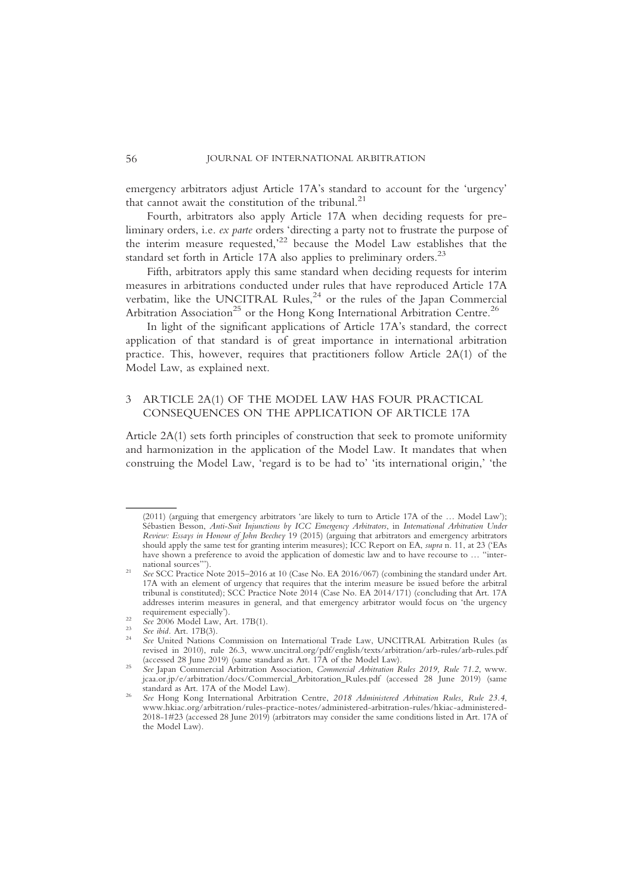emergency arbitrators adjust Article 17A's standard to account for the 'urgency' that cannot await the constitution of the tribunal.<sup>21</sup>

Fourth, arbitrators also apply Article 17A when deciding requests for preliminary orders, i.e. ex parte orders 'directing a party not to frustrate the purpose of the interim measure requested,' <sup>22</sup> because the Model Law establishes that the standard set forth in Article 17A also applies to preliminary orders.<sup>23</sup>

Fifth, arbitrators apply this same standard when deciding requests for interim measures in arbitrations conducted under rules that have reproduced Article 17A verbatim, like the UNCITRAL Rules, $24$  or the rules of the Japan Commercial Arbitration Association<sup>25</sup> or the Hong Kong International Arbitration Centre.<sup>26</sup>

In light of the significant applications of Article 17A's standard, the correct application of that standard is of great importance in international arbitration practice. This, however, requires that practitioners follow Article 2A(1) of the Model Law, as explained next.

# 3 ARTICLE 2A(1) OF THE MODEL LAW HAS FOUR PRACTICAL CONSEQUENCES ON THE APPLICATION OF ARTICLE 17A

Article 2A(1) sets forth principles of construction that seek to promote uniformity and harmonization in the application of the Model Law. It mandates that when construing the Model Law, 'regard is to be had to' 'its international origin,' 'the

<sup>(2011) (</sup>arguing that emergency arbitrators 'are likely to turn to Article 17A of the … Model Law'); Sébastien Besson, Anti-Suit Injunctions by ICC Emergency Arbitrators, in International Arbitration Under Review: Essays in Honour of John Beechey 19 (2015) (arguing that arbitrators and emergency arbitrators should apply the same test for granting interim measures); ICC Report on EA, supra n. 11, at 23 ('EAs have shown a preference to avoid the application of domestic law and to have recourse to ... "inter-<br>national sources").

See SCC Practice Note 2015–2016 at 10 (Case No. EA 2016/067) (combining the standard under Art. 17A with an element of urgency that requires that the interim measure be issued before the arbitral tribunal is constituted); SCC Practice Note 2014 (Case No. EA 2014/171) (concluding that Art. 17A addresses interim measures in general, and that emergency arbitrator would focus on 'the urgency

requirement especially').<br>
<sup>22</sup> See 2006 Model Law, Art. 17B(1).<br>
<sup>23</sup> See ibid. Art. 17B(3).<br>
<sup>24</sup> See United Nations Commission on International Trade Law, UNCITRAL Arbitration Rules (as revised in 2010), rule 26.3, www.uncitral.org/pdf/english/texts/arbitration/arb-rules/arb-rules.pdf

See Japan Commercial Arbitration Association, Commercial Arbitration Rules 2019, Rule 71.2, www. jcaa.or.jp/e/arbitration/docs/Commercial\_Arbitoration\_Rules.pdf (accessed 28 June 2019) (same

See Hong Kong International Arbitration Centre, 2018 Administered Arbitration Rules, Rule 23.4, www.hkiac.org/arbitration/rules-practice-notes/administered-arbitration-rules/hkiac-administered-2018-1#23 (accessed 28 June 2019) (arbitrators may consider the same conditions listed in Art. 17A of the Model Law).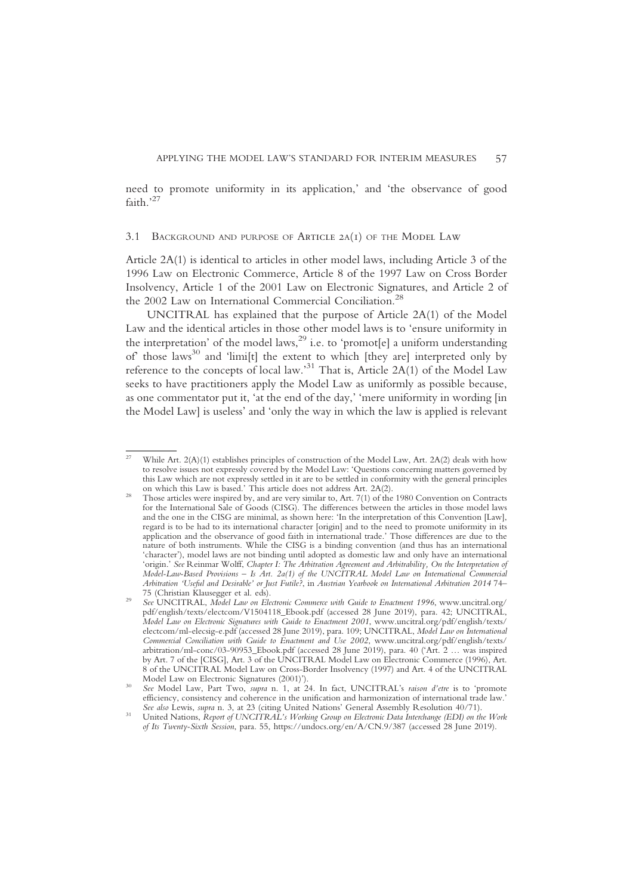need to promote uniformity in its application,' and 'the observance of good faith.'<sup>27</sup>

#### 3.1 BACKGROUND AND PURPOSE OF Article 2A(1) OF THE Model Law

Article 2A(1) is identical to articles in other model laws, including Article 3 of the 1996 Law on Electronic Commerce, Article 8 of the 1997 Law on Cross Border Insolvency, Article 1 of the 2001 Law on Electronic Signatures, and Article 2 of the 2002 Law on International Commercial Conciliation.<sup>28</sup>

UNCITRAL has explained that the purpose of Article 2A(1) of the Model Law and the identical articles in those other model laws is to 'ensure uniformity in the interpretation' of the model laws,<sup>29</sup> i.e. to 'promot[e] a uniform understanding of those laws<sup>30</sup> and 'limi[t] the extent to which [they are] interpreted only by reference to the concepts of local law.<sup>31</sup> That is, Article 2A(1) of the Model Law seeks to have practitioners apply the Model Law as uniformly as possible because, as one commentator put it, 'at the end of the day,' 'mere uniformity in wording [in the Model Law] is useless' and 'only the way in which the law is applied is relevant

While Art.  $2(A)(1)$  establishes principles of construction of the Model Law, Art.  $2A(2)$  deals with how to resolve issues not expressly covered by the Model Law: 'Questions concerning matters governed by this Law which are not expressly settled in it are to be settled in conformity with the general principles on which this Law is based.' This article does not address Art. 2A(2).

Those articles were inspired by, and are very similar to, Art. 7(1) of the 1980 Convention on Contracts for the International Sale of Goods (CISG). The differences between the articles in those model laws and the one in the CISG are minimal, as shown here: 'In the interpretation of this Convention [Law], regard is to be had to its international character [origin] and to the need to promote uniformity in its application and the observance of good faith in international trade.' Those differences are due to the nature of both instruments. While the CISG is a binding convention (and thus has an international 'character'), model laws are not binding until adopted as domestic law and only have an international 'origin.' See Reinmar Wolff, Chapter I: The Arbitration Agreement and Arbitrability, On the Interpretation of Model-Law-Based Provisions – Is Art. 2a(1) of the UNCITRAL Model Law on International Commercial Arbitration 'Useful and Desirable' or Just Futile?, in Austrian Yearbook on International Arbitration 2014 74– 75 (Christian Klausegger et al. eds).<br>See UNCITRAL, Model Law on Electronic Commerce with Guide to Enactment 1996, www.uncitral.org/

pdf/english/texts/electcom/V1504118\_Ebook.pdf (accessed 28 June 2019), para. 42; UNCITRAL, Model Law on Electronic Signatures with Guide to Enactment 2001, www.uncitral.org/pdf/english/texts/ electcom/ml-elecsig-e.pdf (accessed 28 June 2019), para. 109; UNCITRAL, Model Law on International Commercial Conciliation with Guide to Enactment and Use 2002, www.uncitral.org/pdf/english/texts/ arbitration/ml-conc/03-90953\_Ebook.pdf (accessed 28 June 2019), para. 40 ('Art. 2 … was inspired by Art. 7 of the [CISG], Art. 3 of the UNCITRAL Model Law on Electronic Commerce (1996), Art. 8 of the UNCITRAL Model Law on Cross-Border Insolvency (1997) and Art. 4 of the UNCITRAL Model Law on Electronic Signatures (2001)').

See Model Law, Part Two, supra n. 1, at 24. In fact, UNCITRAL's raison d'etre is to 'promote efficiency, consistency and coherence in the unification and harmonization of international trade law.'<br>See also Lewis, supra n. 3, at 23 (citing United Nations' General Assembly Resolution 40/71).

United Nations, Report of UNCITRAL's Working Group on Electronic Data Interchange (EDI) on the Work of Its Twenty-Sixth Session, para. 55, https://undocs.org/en/A/CN.9/387 (accessed 28 June 2019).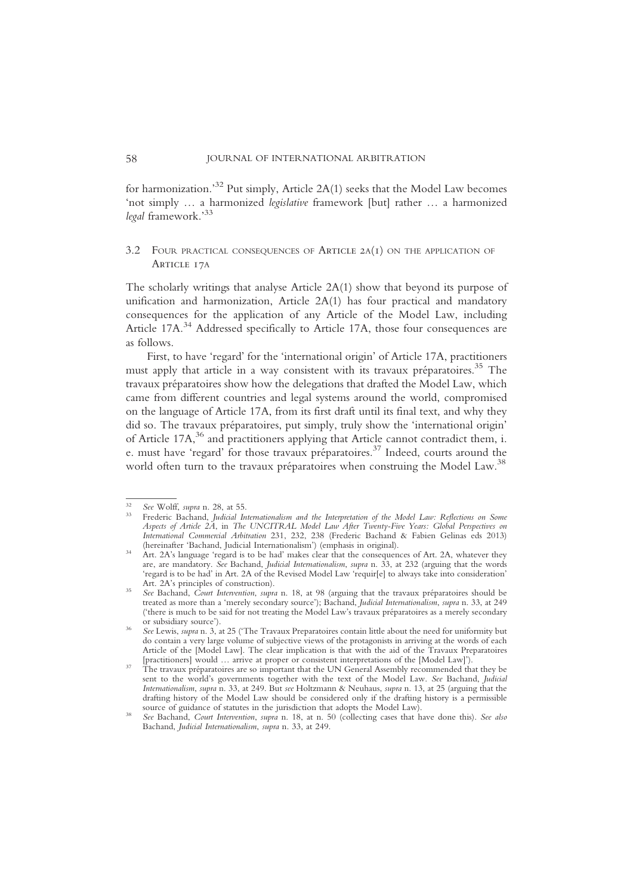for harmonization.' $^{32}$  Put simply, Article 2A(1) seeks that the Model Law becomes 'not simply … a harmonized legislative framework [but] rather … a harmonized legal framework.' 33

# 3.2 FOUR PRACTICAL CONSEQUENCES OF Article 2A(1) ON THE APPLICATION OF Article 17A

The scholarly writings that analyse Article 2A(1) show that beyond its purpose of unification and harmonization, Article 2A(1) has four practical and mandatory consequences for the application of any Article of the Model Law, including Article 17A.<sup>34</sup> Addressed specifically to Article 17A, those four consequences are as follows.

First, to have 'regard' for the 'international origin' of Article 17A, practitioners must apply that article in a way consistent with its travaux préparatoires.<sup>35</sup> The travaux préparatoires show how the delegations that drafted the Model Law, which came from different countries and legal systems around the world, compromised on the language of Article 17A, from its first draft until its final text, and why they did so. The travaux préparatoires, put simply, truly show the 'international origin' of Article 17A,<sup>36</sup> and practitioners applying that Article cannot contradict them, i. e. must have 'regard' for those travaux préparatoires.37 Indeed, courts around the world often turn to the travaux préparatoires when construing the Model Law.<sup>38</sup>

<sup>&</sup>lt;sup>32</sup> See Wolff, supra n. 28, at 55.<br><sup>33</sup> Frederic Bachand, Judicial Internationalism and the Interpretation of the Model Law: Reflections on Some Aspects of Article 2A, in The UNCITRAL Model Law After Twenty-Five Years: Global Perspectives on International Commercial Arbitration 231, 232, 238 (Frederic Bachand & Fabien Gelinas eds 2013) (hereinafter 'Bachand, Judicial Internationalism') (emphasis in original).

 $Art.$  2A's language 'regard is to be had' makes clear that the consequences of Art. 2A, whatever they are, are mandatory. See Bachand, Judicial Internationalism, supra n. 33, at 232 (arguing that the words 'regard is to be had' in Art. 2A of the Revised Model Law 'requir[e] to always take into consideration' Art. 2A's principles of construction).<br>See Bachand, Court Intervention, supra n. 18, at 98 (arguing that the travaux préparatoires should be

treated as more than a 'merely secondary source'); Bachand, Judicial Internationalism, supra n. 33, at 249 ('there is much to be said for not treating the Model Law's travaux préparatoires as a merely secondary or subsidiary source').<br>See Lewis, supra n. 3, at 25 ('The Travaux Preparatoires contain little about the need for uniformity but

do contain a very large volume of subjective views of the protagonists in arriving at the words of each Article of the [Model Law]. The clear implication is that with the aid of the Travaux Preparatoires [practitioners] would … arrive at proper or consistent interpretations of the [Model Law]').<br>The travaux préparatoires are so important that the UN General Assembly recommended that they be

sent to the world's governments together with the text of the Model Law. See Bachand, Judicial Internationalism, supra n. 33, at 249. But see Holtzmann & Neuhaus, supra n. 13, at 25 (arguing that the drafting history of the Model Law should be considered only if the drafting history is a permissible source of guidance of statutes in the jurisdiction that adopts the Model Law).

See Bachand, Court Intervention, supra n. 18, at n. 50 (collecting cases that have done this). See also Bachand, Judicial Internationalism, supra n. 33, at 249.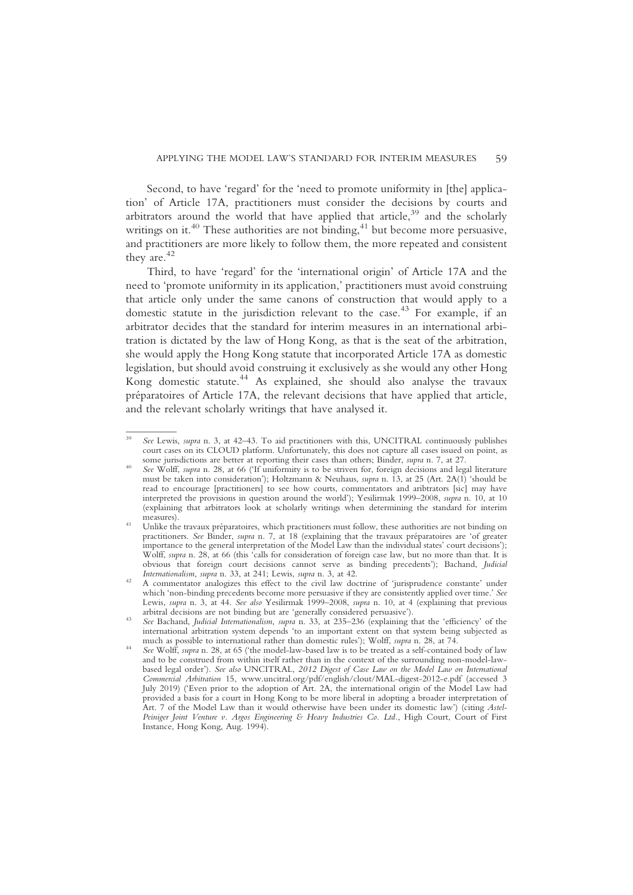Second, to have 'regard' for the 'need to promote uniformity in [the] application' of Article 17A, practitioners must consider the decisions by courts and arbitrators around the world that have applied that article, $39$  and the scholarly writings on it.<sup>40</sup> These authorities are not binding,<sup>41</sup> but become more persuasive, and practitioners are more likely to follow them, the more repeated and consistent they are.<sup>42</sup>

Third, to have 'regard' for the 'international origin' of Article 17A and the need to 'promote uniformity in its application,' practitioners must avoid construing that article only under the same canons of construction that would apply to a domestic statute in the jurisdiction relevant to the case.<sup>43</sup> For example, if an arbitrator decides that the standard for interim measures in an international arbitration is dictated by the law of Hong Kong, as that is the seat of the arbitration, she would apply the Hong Kong statute that incorporated Article 17A as domestic legislation, but should avoid construing it exclusively as she would any other Hong Kong domestic statute.<sup>44</sup> As explained, she should also analyse the travaux préparatoires of Article 17A, the relevant decisions that have applied that article, and the relevant scholarly writings that have analysed it.

See Lewis, supra n. 3, at 42-43. To aid practitioners with this, UNCITRAL continuously publishes court cases on its CLOUD platform. Unfortunately, this does not capture all cases issued on point, as some jurisdictions are better at reporting their cases than others; Binder, *supra* n. 7, at 27.

See Wolff, supra n. 28, at 66 ('If uniformity is to be striven for, foreign decisions and legal literature must be taken into consideration'); Holtzmann & Neuhaus, supra n. 13, at 25 (Art. 2A(1) 'should be read to encourage [practitioners] to see how courts, commentators and aribtrators [sic] may have interpreted the provisions in question around the world'); Yesilirmak 1999–2008, supra n. 10, at 10 (explaining that arbitrators look at scholarly writings when determining the standard for interim

Unlike the travaux préparatoires, which practitioners must follow, these authorities are not binding on practitioners. See Binder, supra n. 7, at 18 (explaining that the travaux préparatoires are 'of greater importance to the general interpretation of the Model Law than the individual states' court decisions'); Wolff, *supra* n. 28, at 66 (this 'calls for consideration of foreign case law, but no more than that. It is obvious that foreign court decisions cannot serve as binding precedents'); Bachand, Judicial Internationalism, supra n. 33, at 241; Lewis, supra n. 3, at 42.<br>A commentator analogizes this effect to the civil law doctrine of 'jurisprudence constante' under

which 'non-binding precedents become more persuasive if they are consistently applied over time.' See Lewis, supra n. 3, at 44. See also Yesilirmak 1999–2008, supra n. 10, at 4 (explaining that previous arbitral decisions are not binding but are 'generally considered persuasive').

See Bachand, Judicial Internationalism, supra n. 33, at 235–236 (explaining that the 'efficiency' of the international arbitration system depends 'to an important extent on that system being subjected as much as possible to international rather than domestic rules'); Wolff, supra n. 28, at 74.

See Wolff, supra n. 28, at 65 ('the model-law-based law is to be treated as a self-contained body of law and to be construed from within itself rather than in the context of the surrounding non-model-lawbased legal order'). See also UNCITRAL, 2012 Digest of Case Law on the Model Law on International Commercial Arbitration 15, www.uncitral.org/pdf/english/clout/MAL-digest-2012-e.pdf (accessed 3 July 2019) ('Even prior to the adoption of Art. 2A, the international origin of the Model Law had provided a basis for a court in Hong Kong to be more liberal in adopting a broader interpretation of Art. 7 of the Model Law than it would otherwise have been under its domestic law') (citing Astel-Peiniger Joint Venture v. Argos Engineering & Heavy Industries Co. Ltd., High Court, Court of First Instance, Hong Kong, Aug. 1994).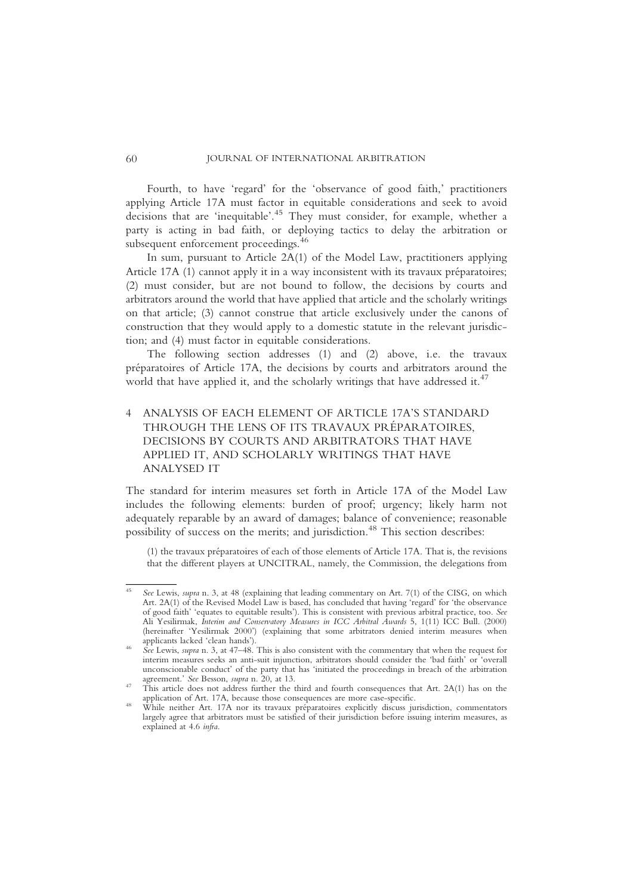Fourth, to have 'regard' for the 'observance of good faith,' practitioners applying Article 17A must factor in equitable considerations and seek to avoid decisions that are 'inequitable'. <sup>45</sup> They must consider, for example, whether a party is acting in bad faith, or deploying tactics to delay the arbitration or subsequent enforcement proceedings.<sup>46</sup>

In sum, pursuant to Article 2A(1) of the Model Law, practitioners applying Article 17A (1) cannot apply it in a way inconsistent with its travaux préparatoires; (2) must consider, but are not bound to follow, the decisions by courts and arbitrators around the world that have applied that article and the scholarly writings on that article; (3) cannot construe that article exclusively under the canons of construction that they would apply to a domestic statute in the relevant jurisdiction; and (4) must factor in equitable considerations.

The following section addresses (1) and (2) above, i.e. the travaux préparatoires of Article 17A, the decisions by courts and arbitrators around the world that have applied it, and the scholarly writings that have addressed it.<sup>47</sup>

# 4 ANALYSIS OF EACH ELEMENT OF ARTICLE 17A'S STANDARD THROUGH THE LENS OF ITS TRAVAUX PRÉPARATOIRES, DECISIONS BY COURTS AND ARBITRATORS THAT HAVE APPLIED IT, AND SCHOLARLY WRITINGS THAT HAVE ANALYSED IT

The standard for interim measures set forth in Article 17A of the Model Law includes the following elements: burden of proof; urgency; likely harm not adequately reparable by an award of damages; balance of convenience; reasonable possibility of success on the merits; and jurisdiction.<sup>48</sup> This section describes:

(1) the travaux préparatoires of each of those elements of Article 17A. That is, the revisions that the different players at UNCITRAL, namely, the Commission, the delegations from

See Lewis, supra n. 3, at 48 (explaining that leading commentary on Art. 7(1) of the CISG, on which Art. 2A(1) of the Revised Model Law is based, has concluded that having 'regard' for 'the observance of good faith' 'equates to equitable results'). This is consistent with previous arbitral practice, too. See Ali Yesilirmak, Interim and Conservatory Measures in ICC Arbitral Awards 5, 1(11) ICC Bull. (2000) (hereinafter 'Yesilirmak 2000') (explaining that some arbitrators denied interim measures when applicants lacked 'clean hands').

 $\hat{See}$  Lewis, *supra* n. 3, at 47–48. This is also consistent with the commentary that when the request for interim measures seeks an anti-suit injunction, arbitrators should consider the 'bad faith' or 'overall unconscionable conduct' of the party that has 'initiated the proceedings in breach of the arbitration

agreement.' See Besson, supra n. 20, at 13.<br>This article does not address further the third and fourth consequences that Art. 2A(1) has on the application of Art. 17A, because those consequences are more case-specific.

While neither Art.  $17A$  nor its travaux préparatoires explicitly discuss jurisdiction, commentators largely agree that arbitrators must be satisfied of their jurisdiction before issuing interim measures, as explained at 4.6 infra.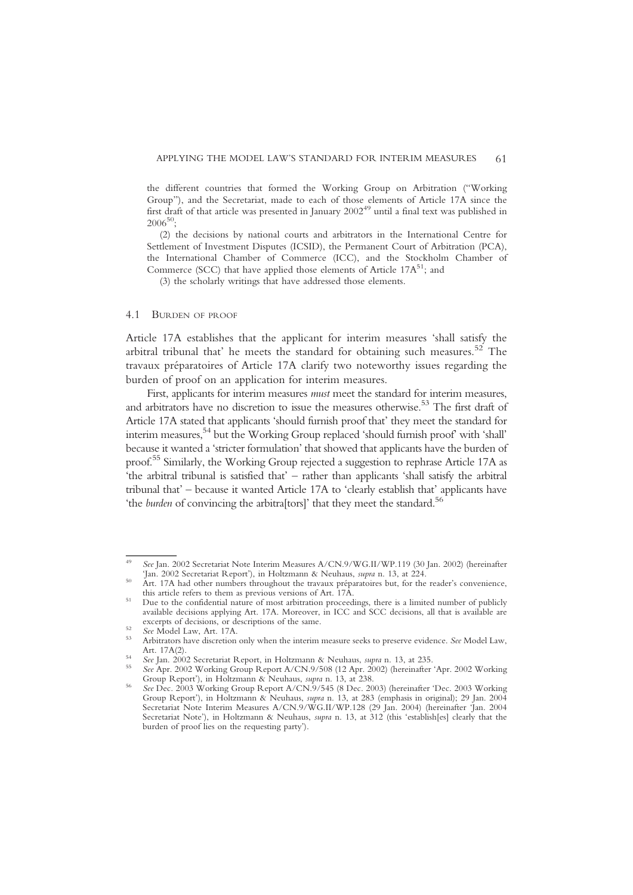the different countries that formed the Working Group on Arbitration ("Working Group"), and the Secretariat, made to each of those elements of Article 17A since the first draft of that article was presented in January 200249 until a final text was published in  $2006^{50}$ ;

(2) the decisions by national courts and arbitrators in the International Centre for Settlement of Investment Disputes (ICSID), the Permanent Court of Arbitration (PCA), the International Chamber of Commerce (ICC), and the Stockholm Chamber of Commerce (SCC) that have applied those elements of Article  $17A^{51}$ ; and

(3) the scholarly writings that have addressed those elements.

#### 4.1 BURDEN OF PROOF

Article 17A establishes that the applicant for interim measures 'shall satisfy the arbitral tribunal that' he meets the standard for obtaining such measures.<sup>52</sup> The travaux préparatoires of Article 17A clarify two noteworthy issues regarding the burden of proof on an application for interim measures.

First, applicants for interim measures *must* meet the standard for interim measures, and arbitrators have no discretion to issue the measures otherwise.<sup>53</sup> The first draft of Article 17A stated that applicants 'should furnish proof that' they meet the standard for interim measures,54 but the Working Group replaced 'should furnish proof' with 'shall' because it wanted a 'stricter formulation' that showed that applicants have the burden of proof.55 Similarly, the Working Group rejected a suggestion to rephrase Article 17A as 'the arbitral tribunal is satisfied that' – rather than applicants 'shall satisfy the arbitral tribunal that' – because it wanted Article 17A to 'clearly establish that' applicants have 'the *burden* of convincing the arbitra<sup>[tors]</sup>' that they meet the standard.<sup>56</sup>

See Jan. 2002 Secretariat Note Interim Measures A/CN.9/WG.II/WP.119 (30 Jan. 2002) (hereinafter 'Jan. 2002 Secretariat Report'), in Holtzmann & Neuhaus, supra n. 13, at 224.

Art. 17A had other numbers throughout the travaux préparatoires but, for the reader's convenience, this article refers to them as previous versions of Art. 17A.

Due to the confidential nature of most arbitration proceedings, there is a limited number of publicly available decisions applying Art. 17A. Moreover, in ICC and SCC decisions, all that is available are

excerpts of decisions, or descriptions of the same.<br>
52 See Model Law, Art. 17A.<br>
53 Arbitrators have discretion only when the interim measure seeks to preserve evidence. See Model Law,<br>
Art. 17A(2).

See Jan. 2002 Secretariat Report, in Holtzmann & Neuhaus, *supra* n. 13, at 235.<br>See Apr. 2002 Working Group Report A/CN.9/508 (12 Apr. 2002) (hereinafter 'Apr. 2002 Working<br>Group Report'), in Holtzmann & Neuhaus, *supra*

See Dec. 2003 Working Group Report A/CN.9/545 (8 Dec. 2003) (hereinafter 'Dec. 2003 Working Group Report'), in Holtzmann & Neuhaus, supra n. 13, at 283 (emphasis in original); 29 Jan. 2004 Secretariat Note Interim Measures A/CN.9/WG.II/WP.128 (29 Jan. 2004) (hereinafter 'Jan. 2004 Secretariat Note'), in Holtzmann & Neuhaus, supra n. 13, at 312 (this 'establish[es] clearly that the burden of proof lies on the requesting party').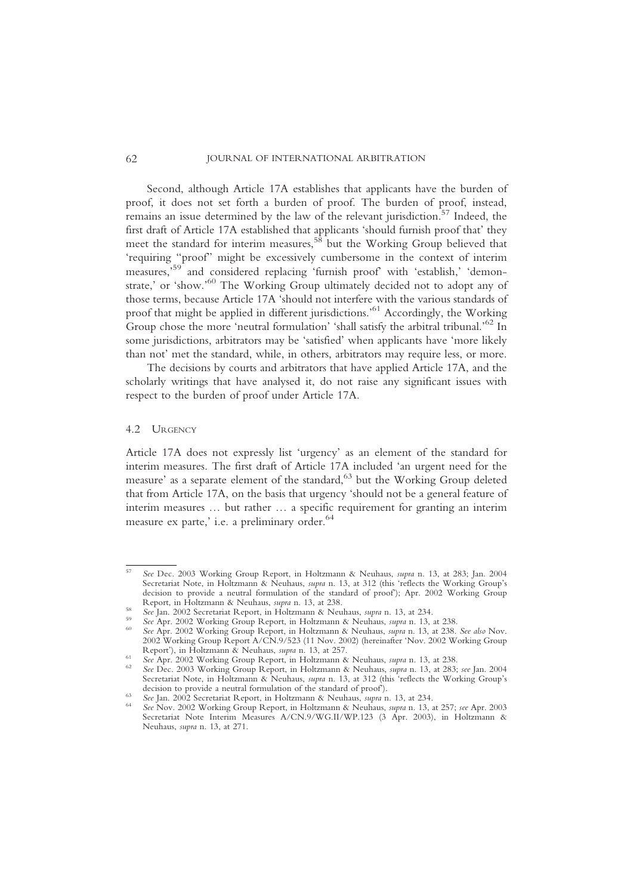Second, although Article 17A establishes that applicants have the burden of proof, it does not set forth a burden of proof. The burden of proof, instead, remains an issue determined by the law of the relevant jurisdiction.<sup>57</sup> Indeed, the first draft of Article 17A established that applicants 'should furnish proof that' they meet the standard for interim measures,<sup>58</sup> but the Working Group believed that 'requiring "proof" might be excessively cumbersome in the context of interim measures,<sup>59</sup> and considered replacing 'furnish proof' with 'establish,' 'demonstrate,' or 'show.'<sup>60</sup> The Working Group ultimately decided not to adopt any of those terms, because Article 17A 'should not interfere with the various standards of proof that might be applied in different jurisdictions.' <sup>61</sup> Accordingly, the Working Group chose the more 'neutral formulation' 'shall satisfy the arbitral tribunal.' <sup>62</sup> In some jurisdictions, arbitrators may be 'satisfied' when applicants have 'more likely than not' met the standard, while, in others, arbitrators may require less, or more.

The decisions by courts and arbitrators that have applied Article 17A, and the scholarly writings that have analysed it, do not raise any significant issues with respect to the burden of proof under Article 17A.

#### 4.2 URGENCY

Article 17A does not expressly list 'urgency' as an element of the standard for interim measures. The first draft of Article 17A included 'an urgent need for the measure' as a separate element of the standard,<sup>63</sup> but the Working Group deleted that from Article 17A, on the basis that urgency 'should not be a general feature of interim measures … but rather … a specific requirement for granting an interim measure ex parte,' i.e. a preliminary order.<sup>64</sup>

<sup>57</sup> See Dec. 2003 Working Group Report, in Holtzmann & Neuhaus, supra n. 13, at 283; Jan. 2004 Secretariat Note, in Holtzmann & Neuhaus, supra n. 13, at 312 (this 'reflects the Working Group's decision to provide a neutral formulation of the standard of proof); Apr. 2002 Working Group Report, in Holtzmann & Neuhaus, *supra* n. 13, at 238.

<sup>&</sup>lt;sup>58</sup> See Jan. 2002 Secretariat Report, in Holtzmann & Neuhaus, *supra* n. 13, at 234.<br><sup>59</sup> See Apr. 2002 Working Group Report, in Holtzmann & Neuhaus, *supra* n. 13, at 238.<br><sup>60</sup> See Apr. 2002 Working Group Report, in Holt

<sup>2002</sup> Working Group Report A/CN.9/523 (11 Nov. 2002) (hereinafter 'Nov. 2002 Working Group Report'), in Holtzmann & Neuhaus, *supra* n. 13, at 257.

<sup>&</sup>lt;sup>61</sup> See Apr. 2002 Working Group Report, in Holtzmann & Neuhaus, *supra* n. 13, at 238.<br><sup>62</sup> See Dec. 2003 Working Group Report, in Holtzmann & Neuhaus, *supra* n. 13, at 283; see Jan. 2004 Secretariat Note, in Holtzmann & Neuhaus, *supra* n. 13, at 312 (this 'reflects the Working Group's decision to provide a neutral formulation of the standard of proof).

See Jan. 2002 Secretariat Report, in Holtzmann & Neuhaus, supra n. 13, at 234.<br>See Nov. 2002 Working Group Report, in Holtzmann & Neuhaus, supra n. 13, at 257; see Apr. 2003 Secretariat Note Interim Measures A/CN.9/WG.II/WP.123 (3 Apr. 2003), in Holtzmann & Neuhaus, supra n. 13, at 271.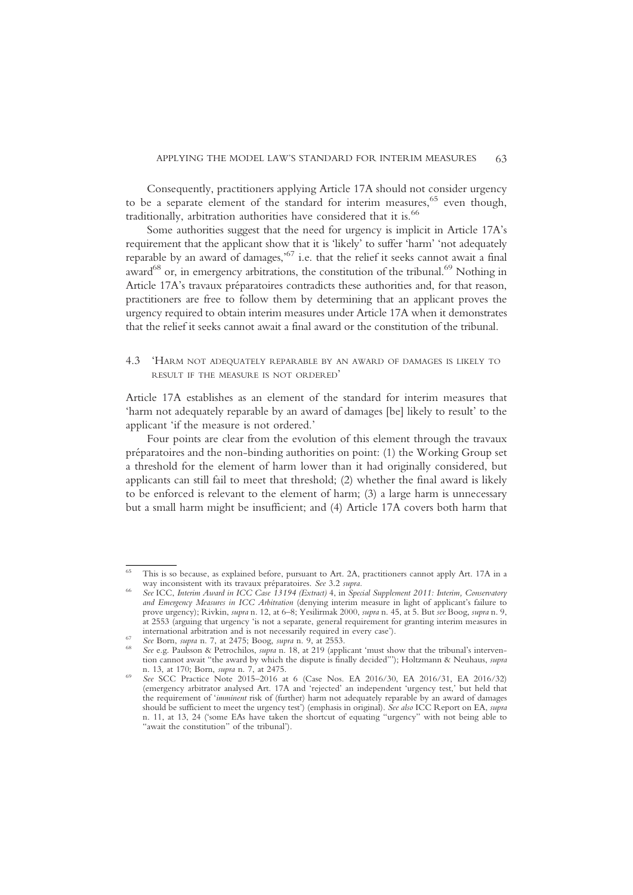Consequently, practitioners applying Article 17A should not consider urgency to be a separate element of the standard for interim measures,  $65$  even though, traditionally, arbitration authorities have considered that it is.<sup>66</sup>

Some authorities suggest that the need for urgency is implicit in Article 17A's requirement that the applicant show that it is 'likely' to suffer 'harm' 'not adequately reparable by an award of damages,' <sup>67</sup> i.e. that the relief it seeks cannot await a final award $^{68}$  or, in emergency arbitrations, the constitution of the tribunal.<sup>69</sup> Nothing in Article 17A's travaux préparatoires contradicts these authorities and, for that reason, practitioners are free to follow them by determining that an applicant proves the urgency required to obtain interim measures under Article 17A when it demonstrates that the relief it seeks cannot await a final award or the constitution of the tribunal.

4.3 'HARM NOT ADEQUATELY REPARABLE BY AN AWARD OF DAMAGES IS LIKELY TO RESULT IF THE MEASURE IS NOT ORDERED'

Article 17A establishes as an element of the standard for interim measures that 'harm not adequately reparable by an award of damages [be] likely to result' to the applicant 'if the measure is not ordered.'

Four points are clear from the evolution of this element through the travaux préparatoires and the non-binding authorities on point: (1) the Working Group set a threshold for the element of harm lower than it had originally considered, but applicants can still fail to meet that threshold; (2) whether the final award is likely to be enforced is relevant to the element of harm; (3) a large harm is unnecessary but a small harm might be insufficient; and (4) Article 17A covers both harm that

This is so because, as explained before, pursuant to Art. 2A, practitioners cannot apply Art. 17A in a way inconsistent with its travaux préparatoires. See 3.2 supra.<br>See ICC, Interim Award in ICC Case 13194 (Extract) 4, in Special Supplement 2011: Interim, Conservatory

and Emergency Measures in ICC Arbitration (denying interim measure in light of applicant's failure to prove urgency); Rivkin, supra n. 12, at 6–8; Yesilirmak 2000, supra n. 45, at 5. But see Boog, supra n. 9, at 2553 (arguing that urgency 'is not a separate, general requirement for granting interim measures in

See Born, supra n. 7, at 2475; Boog, supra n. 9, at 2553.<br>See e.g. Paulsson & Petrochilos, supra n. 18, at 219 (applicant 'must show that the tribunal's intervention cannot await "the award by which the dispute is finally decided"'); Holtzmann & Neuhaus, supra n. 13, at 170; Born, *supra* n. 7, at 2475.<br>See SCC Practice Note 2015–2016 at 6 (Case Nos. EA 2016/30, EA 2016/31, EA 2016/32)

<sup>(</sup>emergency arbitrator analysed Art. 17A and 'rejected' an independent 'urgency test,' but held that the requirement of 'imminent risk of (further) harm not adequately reparable by an award of damages should be sufficient to meet the urgency test') (emphasis in original). See also ICC Report on EA, supra n. 11, at 13, 24 ('some EAs have taken the shortcut of equating "urgency" with not being able to "await the constitution" of the tribunal').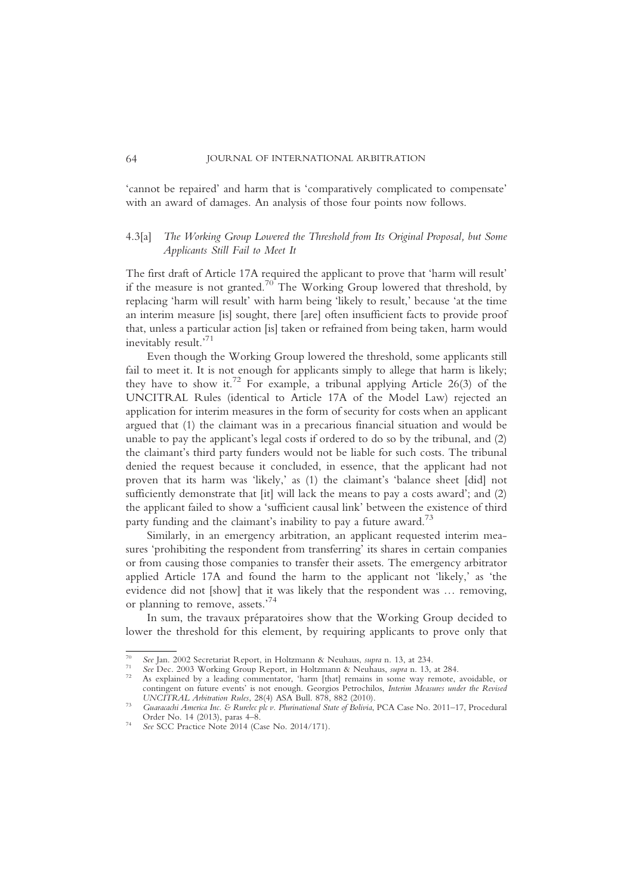'cannot be repaired' and harm that is 'comparatively complicated to compensate' with an award of damages. An analysis of those four points now follows.

# 4.3[a] The Working Group Lowered the Threshold from Its Original Proposal, but Some Applicants Still Fail to Meet It

The first draft of Article 17A required the applicant to prove that 'harm will result' if the measure is not granted.<sup>70</sup> The Working Group lowered that threshold, by replacing 'harm will result' with harm being 'likely to result,' because 'at the time an interim measure [is] sought, there [are] often insufficient facts to provide proof that, unless a particular action [is] taken or refrained from being taken, harm would inevitably result.' 71

Even though the Working Group lowered the threshold, some applicants still fail to meet it. It is not enough for applicants simply to allege that harm is likely; they have to show it.<sup>72</sup> For example, a tribunal applying Article 26(3) of the UNCITRAL Rules (identical to Article 17A of the Model Law) rejected an application for interim measures in the form of security for costs when an applicant argued that (1) the claimant was in a precarious financial situation and would be unable to pay the applicant's legal costs if ordered to do so by the tribunal, and (2) the claimant's third party funders would not be liable for such costs. The tribunal denied the request because it concluded, in essence, that the applicant had not proven that its harm was 'likely,' as (1) the claimant's 'balance sheet [did] not sufficiently demonstrate that [it] will lack the means to pay a costs award'; and (2) the applicant failed to show a 'sufficient causal link' between the existence of third party funding and the claimant's inability to pay a future award.<sup>73</sup>

Similarly, in an emergency arbitration, an applicant requested interim measures 'prohibiting the respondent from transferring' its shares in certain companies or from causing those companies to transfer their assets. The emergency arbitrator applied Article 17A and found the harm to the applicant not 'likely,' as 'the evidence did not [show] that it was likely that the respondent was … removing, or planning to remove, assets.' 74

In sum, the travaux préparatoires show that the Working Group decided to lower the threshold for this element, by requiring applicants to prove only that

<sup>&</sup>lt;sup>70</sup> See Jan. 2002 Secretariat Report, in Holtzmann & Neuhaus, *supra* n. 13, at 234.<br><sup>71</sup> See Dec. 2003 Working Group Report, in Holtzmann & Neuhaus, *supra* n. 13, at 284.<br><sup>72</sup> As explained by a leading commentator, 'har contingent on future events' is not enough. Georgios Petrochilos, Interim Measures under the Revised UNCITRAL Arbitration Rules, 28(4) ASA Bull. 878, 882 (2010).

Guaracachi America Inc. & Rurelec plc v. Plurinational State of Bolivia, PCA Case No. 2011–17, Procedural Order No. 14 (2013), paras 4–8.

 $\frac{52.6421 \times 10^{11} \text{ C} \cdot 10^{10}}{2012 \text{ C} \cdot 10^{10}}$  See SCC Practice Note 2014 (Case No. 2014/171).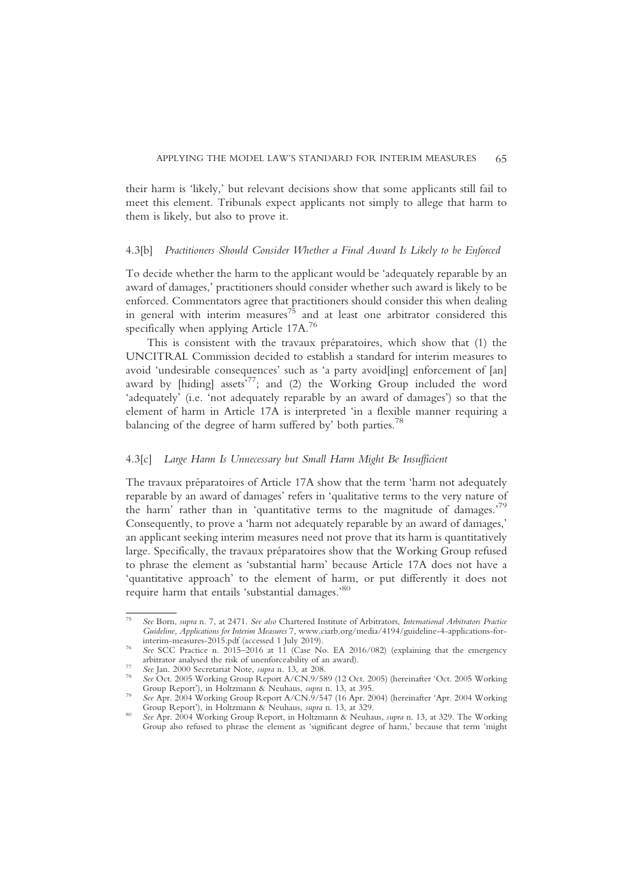their harm is 'likely,' but relevant decisions show that some applicants still fail to meet this element. Tribunals expect applicants not simply to allege that harm to them is likely, but also to prove it.

#### 4.3[b] Practitioners Should Consider Whether a Final Award Is Likely to be Enforced

To decide whether the harm to the applicant would be 'adequately reparable by an award of damages,' practitioners should consider whether such award is likely to be enforced. Commentators agree that practitioners should consider this when dealing in general with interim measures $^{75}$  and at least one arbitrator considered this specifically when applying Article 17A.<sup>76</sup>

This is consistent with the travaux préparatoires, which show that (1) the UNCITRAL Commission decided to establish a standard for interim measures to avoid 'undesirable consequences' such as 'a party avoid[ing] enforcement of [an] award by [hiding] assets<sup>577</sup>; and (2) the Working Group included the word 'adequately' (i.e. 'not adequately reparable by an award of damages') so that the element of harm in Article 17A is interpreted 'in a flexible manner requiring a balancing of the degree of harm suffered by' both parties.<sup>78</sup>

#### 4.3[c] Large Harm Is Unnecessary but Small Harm Might Be Insufficient

The travaux préparatoires of Article 17A show that the term 'harm not adequately reparable by an award of damages' refers in 'qualitative terms to the very nature of the harm' rather than in 'quantitative terms to the magnitude of damages.<sup>79</sup> Consequently, to prove a 'harm not adequately reparable by an award of damages,' an applicant seeking interim measures need not prove that its harm is quantitatively large. Specifically, the travaux préparatoires show that the Working Group refused to phrase the element as 'substantial harm' because Article 17A does not have a 'quantitative approach' to the element of harm, or put differently it does not require harm that entails 'substantial damages.' 80

See Born, supra n. 7, at 2471. See also Chartered Institute of Arbitrators, International Arbitrators Practice Guideline, Applications for Interim Measures 7, www.ciarb.org/media/4194/guideline-4-applications-for-interim-measures-2015.pdf (accessed 1 July 2019).

See SCC Practice n. 2015–2016 at 11 (Case No. EA 2016/082) (explaining that the emergency arbitrator analysed the risk of unenforceability of an award).

See Jan. 2000 Secretariat Note, *supra* n. 13, at 208.<br>See Oct. 2005 Working Group Report A/CN.9/589 (12 Oct. 2005) (hereinafter 'Oct. 2005 Working Group Report'), in Holtzmann & Neuhaus, *supra* n. 13, at 395.

See Apr. 2004 Working Group Report A/CN.9/547 (16 Apr. 2004) (hereinafter 'Apr. 2004 Working Group Report'), in Holtzmann & Neuhaus, *supra* n. 13, at 329.

See Apr. 2004 Working Group Report, in Holtzmann & Neuhaus, supra n. 13, at 329. The Working Group also refused to phrase the element as 'significant degree of harm,' because that term 'might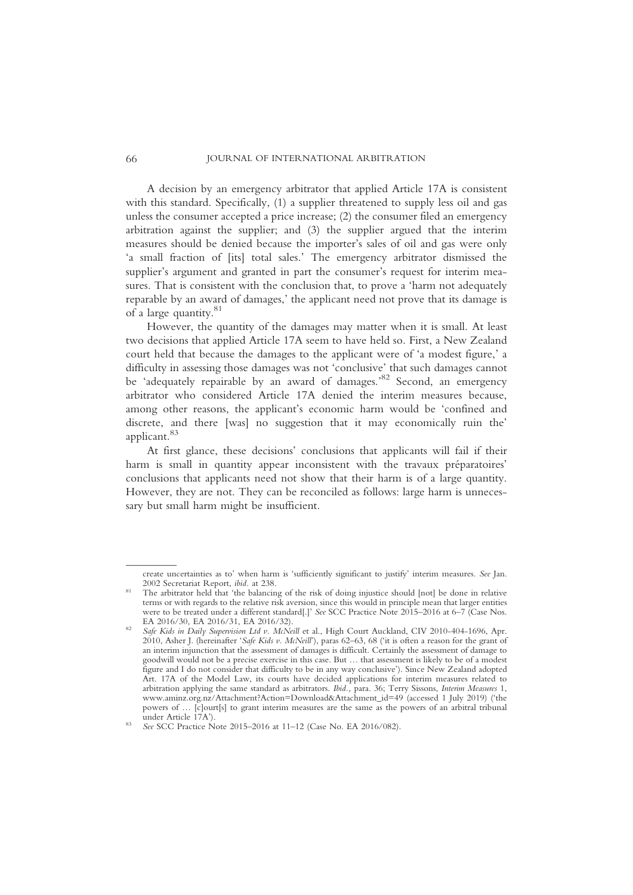A decision by an emergency arbitrator that applied Article 17A is consistent with this standard. Specifically, (1) a supplier threatened to supply less oil and gas unless the consumer accepted a price increase; (2) the consumer filed an emergency arbitration against the supplier; and (3) the supplier argued that the interim measures should be denied because the importer's sales of oil and gas were only 'a small fraction of [its] total sales.' The emergency arbitrator dismissed the supplier's argument and granted in part the consumer's request for interim measures. That is consistent with the conclusion that, to prove a 'harm not adequately reparable by an award of damages,' the applicant need not prove that its damage is of a large quantity.<sup>81</sup>

However, the quantity of the damages may matter when it is small. At least two decisions that applied Article 17A seem to have held so. First, a New Zealand court held that because the damages to the applicant were of 'a modest figure,' a difficulty in assessing those damages was not 'conclusive' that such damages cannot be 'adequately repairable by an award of damages.'<sup>82</sup> Second, an emergency arbitrator who considered Article 17A denied the interim measures because, among other reasons, the applicant's economic harm would be 'confined and discrete, and there [was] no suggestion that it may economically ruin the' applicant.<sup>83</sup>

At first glance, these decisions' conclusions that applicants will fail if their harm is small in quantity appear inconsistent with the travaux préparatoires' conclusions that applicants need not show that their harm is of a large quantity. However, they are not. They can be reconciled as follows: large harm is unnecessary but small harm might be insufficient.

create uncertainties as to' when harm is 'sufficiently significant to justify' interim measures. See Jan. 2002 Secretariat Report, *ibid.* at 238.<br>The arbitrator held that 'the balancing of the risk of doing injustice should [not] be done in relative

terms or with regards to the relative risk aversion, since this would in principle mean that larger entities were to be treated under a different standard[.]' See SCC Practice Note 2015–2016 at 6–7 (Case Nos.

EA 2016/30, EA 2016/31, EA 2016/32).<br>Safe Kids in Daily Supervision Ltd v. McNeill et al., High Court Auckland, CIV 2010-404-1696, Apr. 2010, Asher J. (hereinafter 'Safe Kids v. McNeill'), paras 62–63, 68 ('it is often a reason for the grant of an interim injunction that the assessment of damages is difficult. Certainly the assessment of damage to goodwill would not be a precise exercise in this case. But … that assessment is likely to be of a modest figure and I do not consider that difficulty to be in any way conclusive'). Since New Zealand adopted Art. 17A of the Model Law, its courts have decided applications for interim measures related to arbitration applying the same standard as arbitrators. Ibid., para. 36; Terry Sissons, Interim Measures 1, www.aminz.org.nz/Attachment?Action=Download&Attachment\_id=49 (accessed 1 July 2019) ('the powers of ... [c]ourt[s] to grant interim measures are the same as the powers of an arbitral tribunal under Article 17A')

<sup>&</sup>lt;sup>83</sup> See SCC Practice Note 2015–2016 at 11–12 (Case No. EA 2016/082).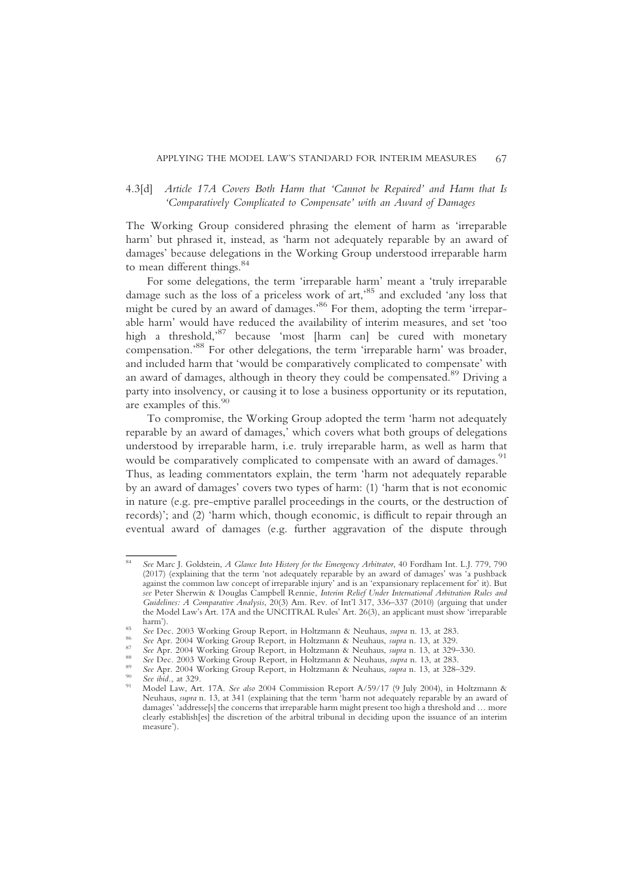# 4.3[d] Article 17A Covers Both Harm that 'Cannot be Repaired' and Harm that Is 'Comparatively Complicated to Compensate' with an Award of Damages

The Working Group considered phrasing the element of harm as 'irreparable harm' but phrased it, instead, as 'harm not adequately reparable by an award of damages' because delegations in the Working Group understood irreparable harm to mean different things.<sup>84</sup>

For some delegations, the term 'irreparable harm' meant a 'truly irreparable damage such as the loss of a priceless work of art,' <sup>85</sup> and excluded 'any loss that might be cured by an award of damages.' <sup>86</sup> For them, adopting the term 'irreparable harm' would have reduced the availability of interim measures, and set 'too high a threshold,' <sup>87</sup> because 'most [harm can] be cured with monetary compensation.' <sup>88</sup> For other delegations, the term 'irreparable harm' was broader, and included harm that 'would be comparatively complicated to compensate' with an award of damages, although in theory they could be compensated.<sup>89</sup> Driving a party into insolvency, or causing it to lose a business opportunity or its reputation, are examples of this.<sup>90</sup>

To compromise, the Working Group adopted the term 'harm not adequately reparable by an award of damages,' which covers what both groups of delegations understood by irreparable harm, i.e. truly irreparable harm, as well as harm that would be comparatively complicated to compensate with an award of damages.<sup>91</sup> Thus, as leading commentators explain, the term 'harm not adequately reparable by an award of damages' covers two types of harm: (1) 'harm that is not economic in nature (e.g. pre-emptive parallel proceedings in the courts, or the destruction of records)'; and (2) 'harm which, though economic, is difficult to repair through an eventual award of damages (e.g. further aggravation of the dispute through

See Marc J. Goldstein, A Glance Into History for the Emergency Arbitrator, 40 Fordham Int. L.J. 779, 790 (2017) (explaining that the term 'not adequately reparable by an award of damages' was 'a pushback against the common law concept of irreparable injury' and is an 'expansionary replacement for' it). But see Peter Sherwin & Douglas Campbell Rennie, Interim Relief Under International Arbitration Rules and Guidelines: A Comparative Analysis, 20(3) Am. Rev. of Int'l 317, 336–337 (2010) (arguing that under the Model Law's Art. 17A and the UNCITRAL Rules' Art. 26(3), an applicant must show 'irreparable harm').<br>
See Dec. 2003 Working Group Report, in Holtzmann & Neuhaus, supra n. 13, at 283.<br>
See Apr. 2004 Working Group Report, in Holtzmann & Neuhaus, supra n. 13, at 329.<br>
See Apr. 2004 Working Group Report, in Holtzmann

Neuhaus, supra n. 13, at 341 (explaining that the term 'harm not adequately reparable by an award of damages' 'addresse[s] the concerns that irreparable harm might present too high a threshold and … more clearly establish[es] the discretion of the arbitral tribunal in deciding upon the issuance of an interim measure').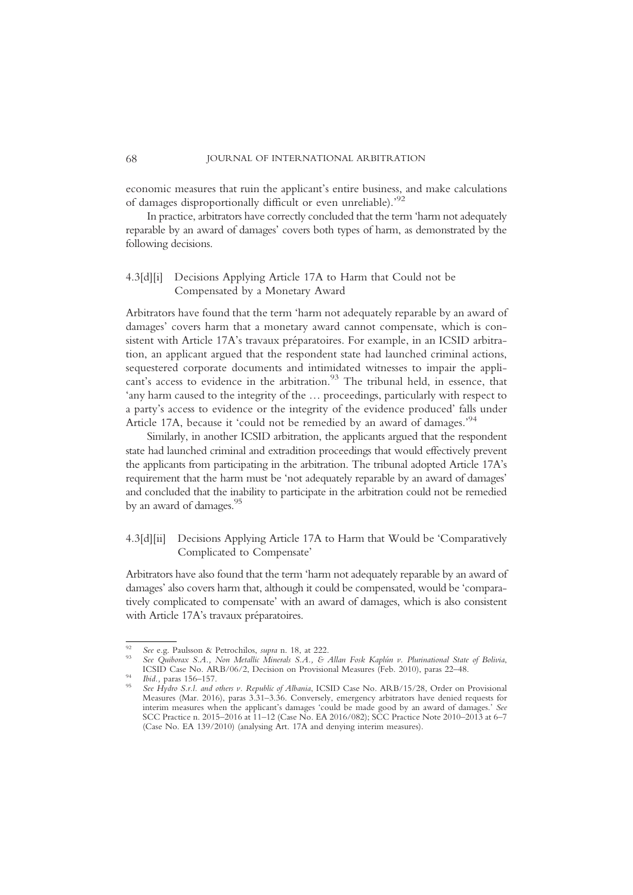economic measures that ruin the applicant's entire business, and make calculations of damages disproportionally difficult or even unreliable).'92

In practice, arbitrators have correctly concluded that the term 'harm not adequately reparable by an award of damages' covers both types of harm, as demonstrated by the following decisions.

# 4.3[d][i] Decisions Applying Article 17A to Harm that Could not be Compensated by a Monetary Award

Arbitrators have found that the term 'harm not adequately reparable by an award of damages' covers harm that a monetary award cannot compensate, which is consistent with Article 17A's travaux préparatoires. For example, in an ICSID arbitration, an applicant argued that the respondent state had launched criminal actions, sequestered corporate documents and intimidated witnesses to impair the applicant's access to evidence in the arbitration.<sup>93</sup> The tribunal held, in essence, that 'any harm caused to the integrity of the … proceedings, particularly with respect to a party's access to evidence or the integrity of the evidence produced' falls under Article 17A, because it 'could not be remedied by an award of damages.'<sup>94</sup>

Similarly, in another ICSID arbitration, the applicants argued that the respondent state had launched criminal and extradition proceedings that would effectively prevent the applicants from participating in the arbitration. The tribunal adopted Article 17A's requirement that the harm must be 'not adequately reparable by an award of damages' and concluded that the inability to participate in the arbitration could not be remedied by an award of damages.<sup>95</sup>

# 4.3[d][ii] Decisions Applying Article 17A to Harm that Would be 'Comparatively Complicated to Compensate'

Arbitrators have also found that the term 'harm not adequately reparable by an award of damages' also covers harm that, although it could be compensated, would be 'comparatively complicated to compensate' with an award of damages, which is also consistent with Article 17A's travaux préparatoires.

<sup>&</sup>lt;sup>92</sup> See e.g. Paulsson & Petrochilos, supra n. 18, at 222.<br><sup>93</sup> See Quiborax S.A., Non Metallic Minerals S.A., & Allan Fosk Kaplún v. Plurinational State of Bolivia,<br>ICSID Case No. ARB/06/2, Decision on Provisional Measur ICSID Case No. ARB/06/2, Decision on Provisional Measures (Feb. 2010), paras 22–48.<br><sup>94</sup> Ibid., paras 156–157.<br><sup>95</sup> See Hydro S.r.l. and others v. Republic of Albania, ICSID Case No. ARB/15/28, Order on Provisional

Measures (Mar. 2016), paras 3.31–3.36. Conversely, emergency arbitrators have denied requests for interim measures when the applicant's damages 'could be made good by an award of damages.' See SCC Practice n. 2015–2016 at 11–12 (Case No. EA 2016/082); SCC Practice Note 2010–2013 at 6–7 (Case No. EA 139/2010) (analysing Art. 17A and denying interim measures).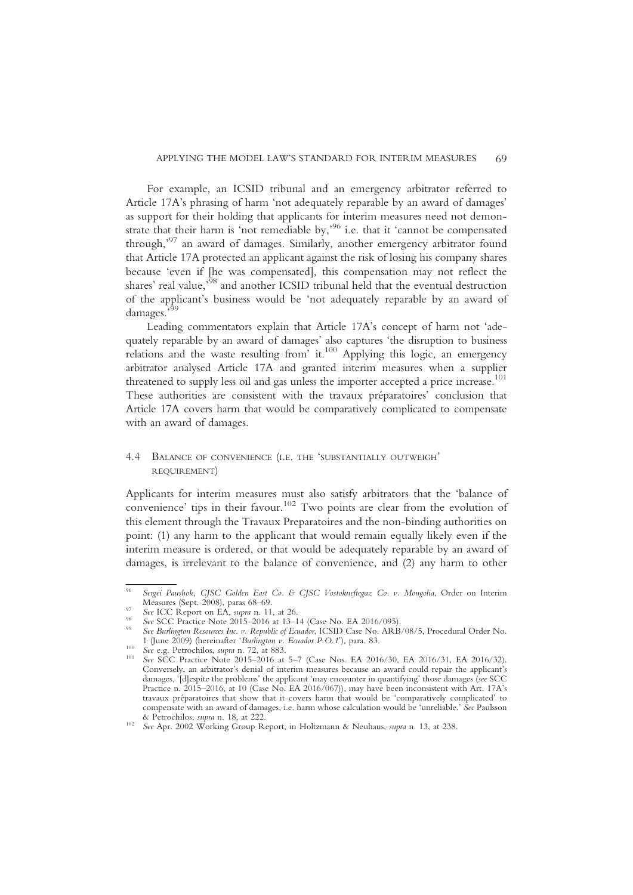For example, an ICSID tribunal and an emergency arbitrator referred to Article 17A's phrasing of harm 'not adequately reparable by an award of damages' as support for their holding that applicants for interim measures need not demonstrate that their harm is 'not remediable by,' <sup>96</sup> i.e. that it 'cannot be compensated through,' <sup>97</sup> an award of damages. Similarly, another emergency arbitrator found that Article 17A protected an applicant against the risk of losing his company shares because 'even if [he was compensated], this compensation may not reflect the shares' real value,<sup>58</sup> and another ICSID tribunal held that the eventual destruction of the applicant's business would be 'not adequately reparable by an award of damages.<sup>599</sup>

Leading commentators explain that Article 17A's concept of harm not 'adequately reparable by an award of damages' also captures 'the disruption to business relations and the waste resulting from  $it^{100}$  Applying this logic, an emergency arbitrator analysed Article 17A and granted interim measures when a supplier threatened to supply less oil and gas unless the importer accepted a price increase.<sup>101</sup> These authorities are consistent with the travaux préparatoires' conclusion that Article 17A covers harm that would be comparatively complicated to compensate with an award of damages.

### 4.4 BALANCE OF CONVENIENCE (I.E. THE 'SUBSTANTIALLY OUTWEIGH' REQUIREMENT)

Applicants for interim measures must also satisfy arbitrators that the 'balance of convenience' tips in their favour.<sup>102</sup> Two points are clear from the evolution of this element through the Travaux Preparatoires and the non-binding authorities on point: (1) any harm to the applicant that would remain equally likely even if the interim measure is ordered, or that would be adequately reparable by an award of damages, is irrelevant to the balance of convenience, and (2) any harm to other

Sergei Paushok, CJSC Golden East Co. & CJSC Vostokneftegaz Co. v. Mongolia, Order on Interim Measures (Sept. 2008), paras 68–69.

<sup>&</sup>lt;sup>97</sup> See ICC Report on EA, *supra* n. 11, at 26.<br><sup>98</sup> See ICC Practice Note 2015–2016 at 13–14 (Case No. EA 2016/095).<br><sup>99</sup> See Burlington Resources Inc. v. Republic of Ecuador, ICSID Case No. ARB/08/5, Procedural Order No

<sup>100</sup>  $\frac{1}{2}$  See e.g. Petrochilos, supra n. 72, at 883.<br><sup>101</sup> See SCC Practice Note 2015–2016 at 5–7 (Case Nos. EA 2016/30, EA 2016/31, EA 2016/32). Conversely, an arbitrator's denial of interim measures because an award could repair the applicant's damages, '[d]espite the problems' the applicant 'may encounter in quantifying' those damages (see SCC Practice n. 2015–2016, at 10 (Case No. EA 2016/067)), may have been inconsistent with Art. 17A's travaux préparatoires that show that it covers harm that would be 'comparatively complicated' to compensate with an award of damages, i.e. harm whose calculation would be 'unreliable.' See Paulsson & Petrochilos. *supra* n. 18. at 222.

<sup>&</sup>lt;sup>102</sup> See Apr. 2002 Working Group Report, in Holtzmann & Neuhaus, supra n. 13, at 238.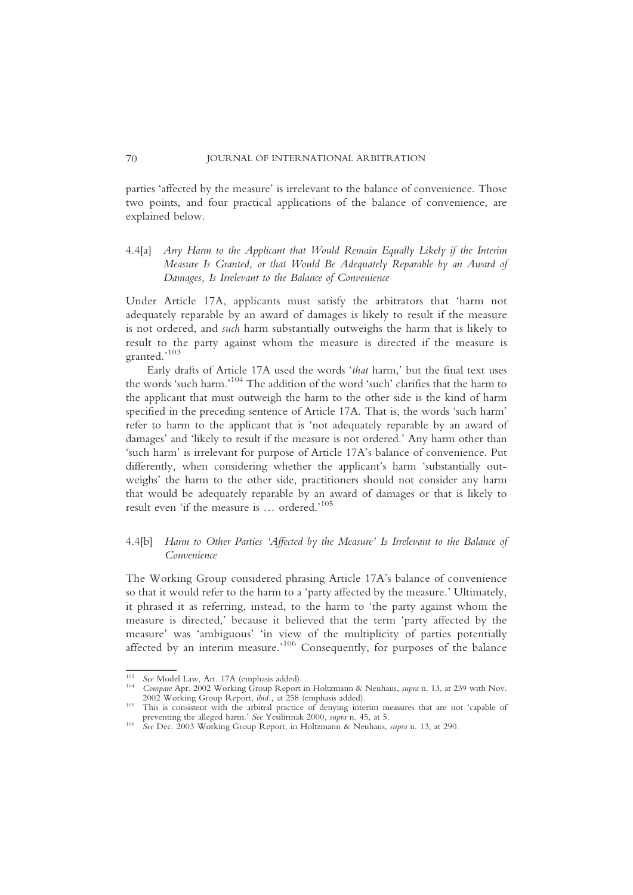parties 'affected by the measure' is irrelevant to the balance of convenience. Those two points, and four practical applications of the balance of convenience, are explained below.

# 4.4[a] Any Harm to the Applicant that Would Remain Equally Likely if the Interim Measure Is Granted, or that Would Be Adequately Reparable by an Award of Damages, Is Irrelevant to the Balance of Convenience

Under Article 17A, applicants must satisfy the arbitrators that 'harm not adequately reparable by an award of damages is likely to result if the measure is not ordered, and such harm substantially outweighs the harm that is likely to result to the party against whom the measure is directed if the measure is granted.' 103

Early drafts of Article 17A used the words 'that harm,' but the final text uses the words 'such harm.' <sup>104</sup> The addition of the word 'such' clarifies that the harm to the applicant that must outweigh the harm to the other side is the kind of harm specified in the preceding sentence of Article 17A. That is, the words 'such harm' refer to harm to the applicant that is 'not adequately reparable by an award of damages' and 'likely to result if the measure is not ordered.' Any harm other than 'such harm' is irrelevant for purpose of Article 17A's balance of convenience. Put differently, when considering whether the applicant's harm 'substantially outweighs' the harm to the other side, practitioners should not consider any harm that would be adequately reparable by an award of damages or that is likely to result even 'if the measure is … ordered.' 105

# 4.4[b] Harm to Other Parties 'Affected by the Measure' Is Irrelevant to the Balance of Convenience

The Working Group considered phrasing Article 17A's balance of convenience so that it would refer to the harm to a 'party affected by the measure.' Ultimately, it phrased it as referring, instead, to the harm to 'the party against whom the measure is directed,' because it believed that the term 'party affected by the measure' was 'ambiguous' 'in view of the multiplicity of parties potentially affected by an interim measure.<sup>106</sup> Consequently, for purposes of the balance

<sup>&</sup>lt;sup>103</sup> See Model Law, Art. 17A (emphasis added).<br><sup>104</sup> Compare Apr. 2002 Working Group Report in Holtzmann & Neuhaus, *supra* n. 13, at 239 with Nov.<br>2002 Working Group Report, *ibid.*, at 258 (emphasis added).

This is consistent with the arbitral practice of denying interim measures that are not 'capable of preventing the alleged harm.' See Yesilirmak 2000, supra n. 45, at 5.

preventing the alleged harm.' See Yesilirman 2000, supra n. 10, at 5.<br><sup>106</sup> See Dec. 2003 Working Group Report, in Holtzmann & Neuhaus, supra n. 13, at 290.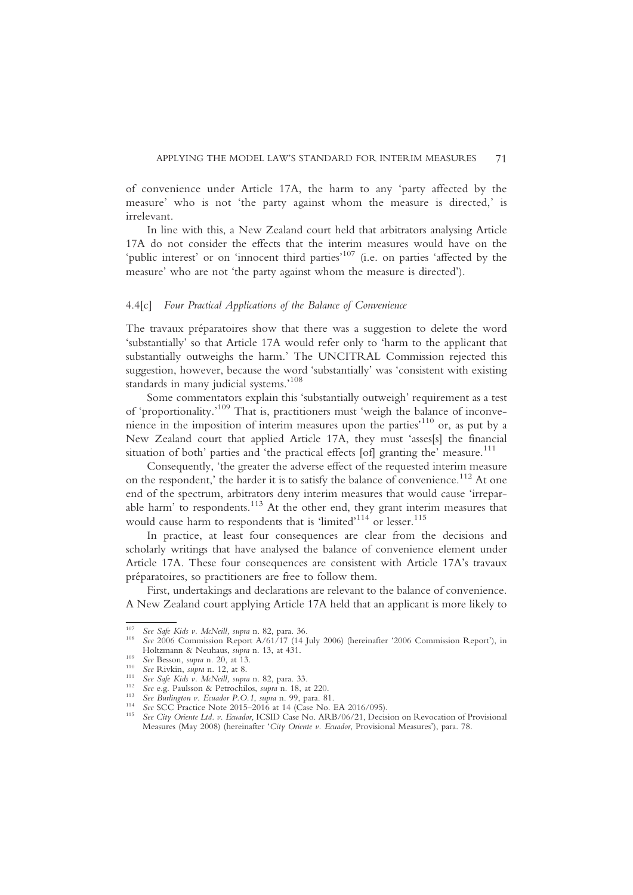of convenience under Article 17A, the harm to any 'party affected by the measure' who is not 'the party against whom the measure is directed,' is irrelevant.

In line with this, a New Zealand court held that arbitrators analysing Article 17A do not consider the effects that the interim measures would have on the 'public interest' or on 'innocent third parties'<sup>107</sup> (i.e. on parties 'affected by the measure' who are not 'the party against whom the measure is directed').

#### 4.4[c] Four Practical Applications of the Balance of Convenience

The travaux préparatoires show that there was a suggestion to delete the word 'substantially' so that Article 17A would refer only to 'harm to the applicant that substantially outweighs the harm.' The UNCITRAL Commission rejected this suggestion, however, because the word 'substantially' was 'consistent with existing standards in many judicial systems.' 108

Some commentators explain this 'substantially outweigh' requirement as a test of 'proportionality.'<sup>109</sup> That is, practitioners must 'weigh the balance of inconvenience in the imposition of interim measures upon the parties' <sup>110</sup> or, as put by a New Zealand court that applied Article 17A, they must 'asses[s] the financial situation of both' parties and 'the practical effects [of] granting the' measure.<sup>111</sup>

Consequently, 'the greater the adverse effect of the requested interim measure on the respondent,' the harder it is to satisfy the balance of convenience.<sup>112</sup> At one end of the spectrum, arbitrators deny interim measures that would cause 'irreparable harm' to respondents.<sup>113</sup> At the other end, they grant interim measures that would cause harm to respondents that is 'limited'<sup>114</sup> or lesser.<sup>115</sup>

In practice, at least four consequences are clear from the decisions and scholarly writings that have analysed the balance of convenience element under Article 17A. These four consequences are consistent with Article 17A's travaux préparatoires, so practitioners are free to follow them.

First, undertakings and declarations are relevant to the balance of convenience. A New Zealand court applying Article 17A held that an applicant is more likely to

<sup>&</sup>lt;sup>107</sup> See Safe Kids v. McNeill, supra n. 82, para. 36.<br><sup>108</sup> See 2006 Commission Report A/61/17 (14 July 2006) (hereinafter '2006 Commission Report'), in<br>Holtzmann & Neuhaus, *supra* n. 13, at 431.

See Besson, supra n. 20, at 13.<br>
<sup>109</sup> See Besson, supra n. 12, at 8.<br>
<sup>110</sup> See Rivkin, supra n. 12, at 8.<br>
<sup>111</sup> See Rigk Kids v. McNeill, supra n. 82, para. 33.<br>
<sup>112</sup> See e.g. Paulsson & Petrochilos, supra n. 18, at 22 Measures (May 2008) (hereinafter 'City Oriente v. Ecuador, Provisional Measures'), para. 78.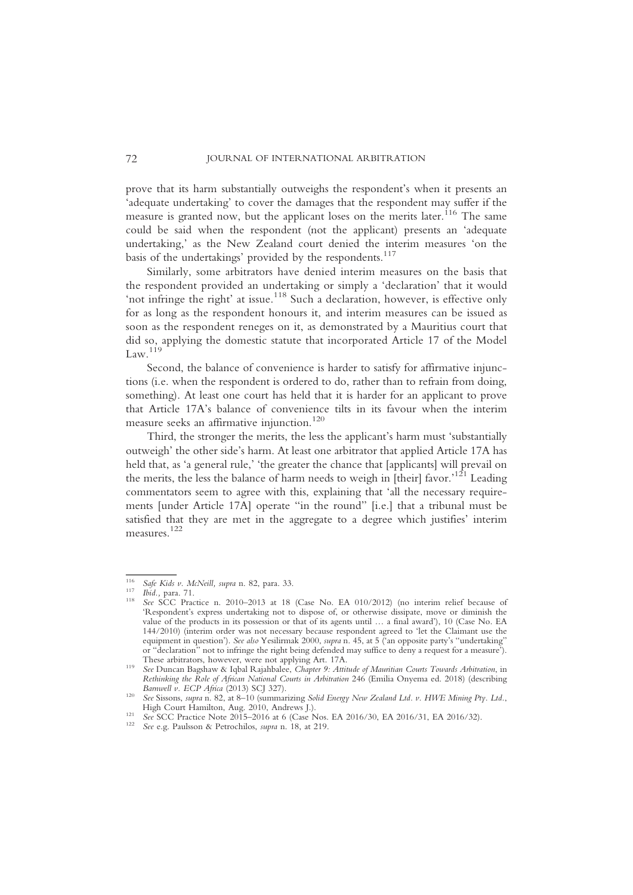prove that its harm substantially outweighs the respondent's when it presents an 'adequate undertaking' to cover the damages that the respondent may suffer if the measure is granted now, but the applicant loses on the merits later.<sup>116</sup> The same could be said when the respondent (not the applicant) presents an 'adequate undertaking,' as the New Zealand court denied the interim measures 'on the basis of the undertakings' provided by the respondents.<sup>117</sup>

Similarly, some arbitrators have denied interim measures on the basis that the respondent provided an undertaking or simply a 'declaration' that it would 'not infringe the right' at issue.<sup>118</sup> Such a declaration, however, is effective only for as long as the respondent honours it, and interim measures can be issued as soon as the respondent reneges on it, as demonstrated by a Mauritius court that did so, applying the domestic statute that incorporated Article 17 of the Model  $Law.<sup>119</sup>$ 

Second, the balance of convenience is harder to satisfy for affirmative injunctions (i.e. when the respondent is ordered to do, rather than to refrain from doing, something). At least one court has held that it is harder for an applicant to prove that Article 17A's balance of convenience tilts in its favour when the interim measure seeks an affirmative injunction.<sup>120</sup>

Third, the stronger the merits, the less the applicant's harm must 'substantially outweigh' the other side's harm. At least one arbitrator that applied Article 17A has held that, as 'a general rule,' 'the greater the chance that [applicants] will prevail on the merits, the less the balance of harm needs to weigh in [their] favor.<sup>121</sup> Leading commentators seem to agree with this, explaining that 'all the necessary requirements [under Article 17A] operate "in the round" [i.e.] that a tribunal must be satisfied that they are met in the aggregate to a degree which justifies' interim measures. 122

<sup>&</sup>lt;sup>116</sup> Safe Kids v. McNeill, supra n. 82, para. 33.<br><sup>117</sup> Ibid., para. 71.<br><sup>118</sup> See SCC Practice n. 2010–2013 at 18 (Case No. EA 010/2012) (no interim relief because of 'Respondent's express undertaking not to dispose of, or otherwise dissipate, move or diminish the value of the products in its possession or that of its agents until … a final award'), 10 (Case No. EA 144/2010) (interim order was not necessary because respondent agreed to 'let the Claimant use the equipment in question'). See also Yesilirmak 2000, supra n. 45, at 5 ('an opposite party's "undertaking" or "declaration" not to infringe the right being defended may suffice to deny a request for a measure<sup>5</sup>). These arbitrators, however, were not applying Art. 17A.

These arbitrators, however, were not applying Art. 1712.<br>See Duncan Bagshaw & Iqbal Rajahbalee, Chapter 9: Attitude of Mauritian Courts Towards Arbitration, in Rethinking the Role of African National Courts in Arbitration 246 (Emilia Onyema ed. 2018) (describing Barnwell v. ECP Africa (2013) SCJ 327).

Barnwell v. Ecp Africa (2013) See Sissons, supra n. 82, at 8–10 (summarizing Solid Energy New Zealand Ltd. v. HWE Mining Pty. Ltd., High Court Hamilton. Aug. 2010. Andrews L.

Hen Court Hammed, Aug. 2016, Andrews J.). 121 See SCC Practice Note 2015–2016 at 6 (Case Nos. EA 2016/30, EA 2016/31, EA 2016/32). 122 See e.g. Paulsson & Petrochilos, supra n. 18, at 219.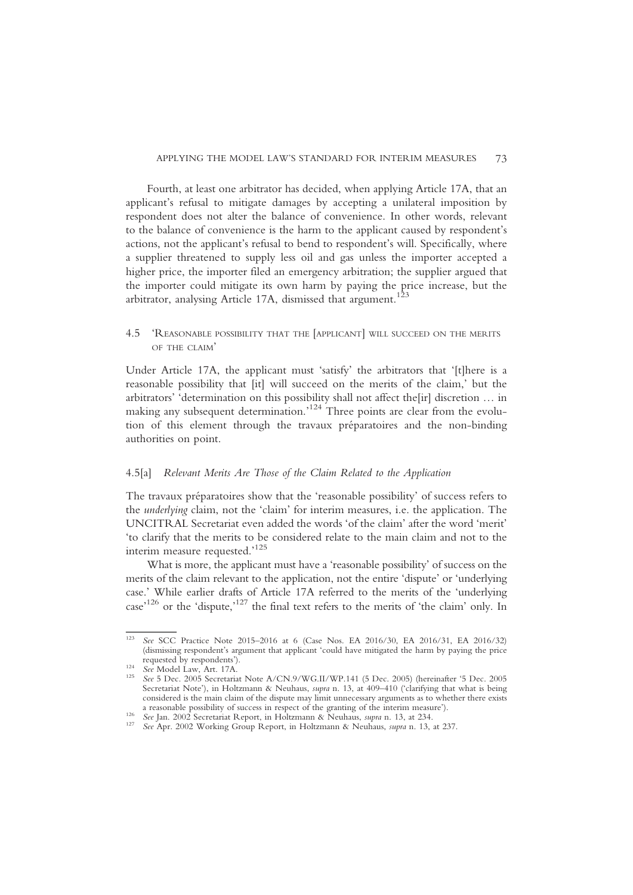Fourth, at least one arbitrator has decided, when applying Article 17A, that an applicant's refusal to mitigate damages by accepting a unilateral imposition by respondent does not alter the balance of convenience. In other words, relevant to the balance of convenience is the harm to the applicant caused by respondent's actions, not the applicant's refusal to bend to respondent's will. Specifically, where a supplier threatened to supply less oil and gas unless the importer accepted a higher price, the importer filed an emergency arbitration; the supplier argued that the importer could mitigate its own harm by paying the price increase, but the arbitrator, analysing Article 17A, dismissed that argument.<sup>123</sup>

# 4.5 'REASONABLE POSSIBILITY THAT THE [APPLICANT] WILL SUCCEED ON THE MERITS OF THE CLAIM'

Under Article 17A, the applicant must 'satisfy' the arbitrators that '[t]here is a reasonable possibility that [it] will succeed on the merits of the claim,' but the arbitrators' 'determination on this possibility shall not affect the[ir] discretion … in making any subsequent determination.<sup>124</sup> Three points are clear from the evolution of this element through the travaux préparatoires and the non-binding authorities on point.

### 4.5[a] Relevant Merits Are Those of the Claim Related to the Application

The travaux préparatoires show that the 'reasonable possibility' of success refers to the underlying claim, not the 'claim' for interim measures, i.e. the application. The UNCITRAL Secretariat even added the words 'of the claim' after the word 'merit' 'to clarify that the merits to be considered relate to the main claim and not to the interim measure requested.' 125

What is more, the applicant must have a 'reasonable possibility' of success on the merits of the claim relevant to the application, not the entire 'dispute' or 'underlying case.' While earlier drafts of Article 17A referred to the merits of the 'underlying case<sup>'126</sup> or the 'dispute,<sup>'127</sup> the final text refers to the merits of 'the claim' only. In

See SCC Practice Note 2015–2016 at 6 (Case Nos. EA 2016/30, EA 2016/31, EA 2016/32) (dismissing respondent's argument that applicant 'could have mitigated the harm by paying the price

requested by response by response to the See Model Law, Art. 17A.<br>
<sup>125</sup> See 5 Dec. 2005 Secretariat Note A/CN.9/WG.II/WP.141 (5 Dec. 2005) (hereinafter '5 Dec. 2005 Secretariat Note'), in Holtzmann & Neuhaus, supra n. 13, at 409-410 ('clarifying that what is being considered is the main claim of the dispute may limit unnecessary arguments as to whether there exists a reasonable possibility of success in respect of the granting of the interim measure').

See Jan. 2002 Secretariat Report, in Holtzmann & Neuhaus, supra n. 13, at 234.<br><sup>127</sup> See Apr. 2002 Working Group Report, in Holtzmann & Neuhaus, supra n. 13, at 237.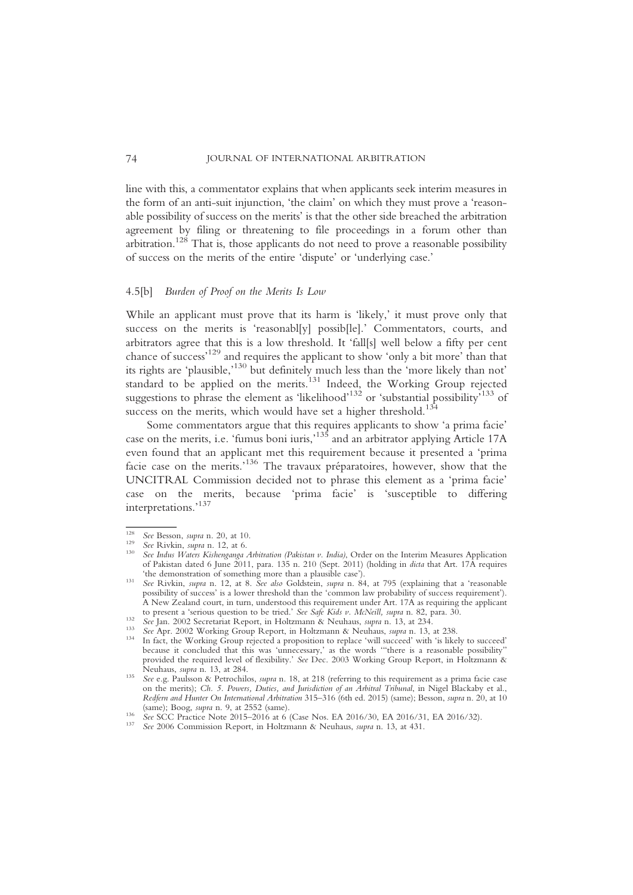line with this, a commentator explains that when applicants seek interim measures in the form of an anti-suit injunction, 'the claim' on which they must prove a 'reasonable possibility of success on the merits' is that the other side breached the arbitration agreement by filing or threatening to file proceedings in a forum other than arbitration.128 That is, those applicants do not need to prove a reasonable possibility of success on the merits of the entire 'dispute' or 'underlying case.'

#### 4.5[b] Burden of Proof on the Merits Is Low

While an applicant must prove that its harm is 'likely,' it must prove only that success on the merits is 'reasonabl[y] possib[le].' Commentators, courts, and arbitrators agree that this is a low threshold. It 'fall[s] well below a fifty per cent chance of success' <sup>129</sup> and requires the applicant to show 'only a bit more' than that its rights are 'plausible,' <sup>130</sup> but definitely much less than the 'more likely than not' standard to be applied on the merits.<sup>131</sup> Indeed, the Working Group rejected suggestions to phrase the element as 'likelihood'<sup>132</sup> or 'substantial possibility'<sup>133</sup> of success on the merits, which would have set a higher threshold.<sup>134</sup>

Some commentators argue that this requires applicants to show 'a prima facie' case on the merits, i.e. 'fumus boni iuris,' <sup>135</sup> and an arbitrator applying Article 17A even found that an applicant met this requirement because it presented a 'prima facie case on the merits.'<sup>136</sup> The travaux préparatoires, however, show that the UNCITRAL Commission decided not to phrase this element as a 'prima facie' case on the merits, because 'prima facie' is 'susceptible to differing interpretations.' 137

<sup>&</sup>lt;sup>128</sup> See Besson, supra n. 20, at 10.<br><sup>129</sup> See Rivkin, supra n. 12, at 6.<br><sup>130</sup> See Indus *Waters Kishenganga Arbitration (Pakistan v. India)*, Order on the Interim Measures Application of Pakistan dated 6 June 2011, para. 135 n. 210 (Sept. 2011) (holding in dicta that Art. 17A requires

<sup>&#</sup>x27;the demonstration of something more than a plausible case'). <sup>131</sup> See Rivkin, supra n. 12, at 8. See also Goldstein, supra n. 84, at 795 (explaining that a 'reasonable possibility of success' is a lower threshold than the 'common law probability of success requirement'). A New Zealand court, in turn, understood this requirement under Art. 17A as requiring the applicant to present a 'serious question to be tried.' See Safe Kids v. McNeill, supra n. 82, para. 30.

See Jan. 2002 Secretariat Report, in Holtzmann & Neuhaus, *supra* n. 13, at 234.<br>
<sup>133</sup> See Apr. 2002 Working Group Report, in Holtzmann & Neuhaus, *supra* n. 13, at 238.<br>
<sup>134</sup> In fact, the Working Group rejected a propos because it concluded that this was 'unnecessary,' as the words "there is a reasonable possibility' provided the required level of flexibility.' See Dec. 2003 Working Group Report, in Holtzmann & Neuhaus, supra n. 13, at 284.

See e.g. Paulsson & Petrochilos, supra n. 18, at 218 (referring to this requirement as a prima facie case on the merits); Ch. 5. Powers, Duties, and Jurisdiction of an Arbitral Tribunal, in Nigel Blackaby et al., Redfern and Hunter On International Arbitration 315–316 (6th ed. 2015) (same); Besson, supra n. 20, at 10 (same): Boog. supra n. 9, at 2552 (same).

See SCC Practice Note 2015–2016 at 6 (Case Nos. EA 2016/30, EA 2016/31, EA 2016/32).<br>
<sup>137</sup> See 2006 Commission Report, in Holtzmann & Neuhaus, *supra* n. 13, at 431.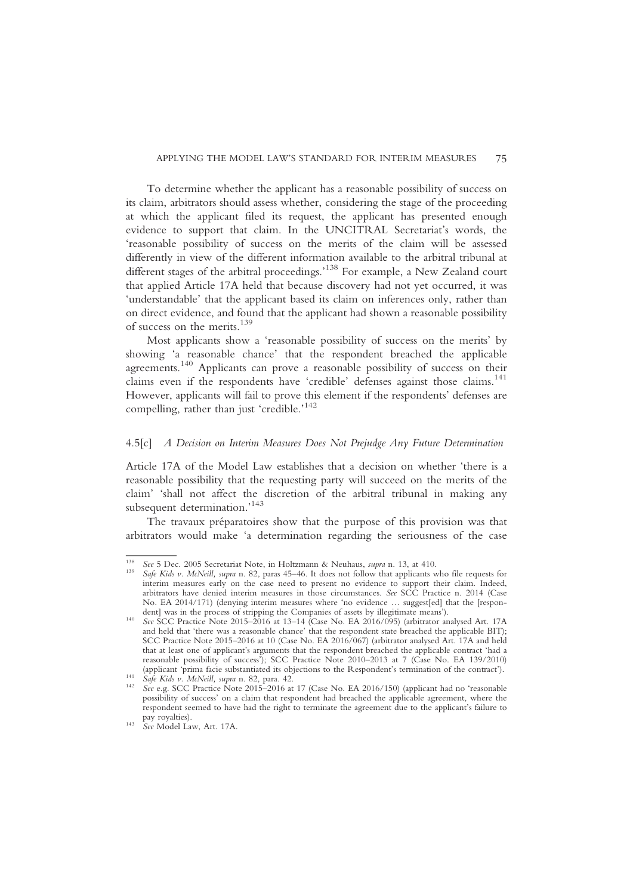To determine whether the applicant has a reasonable possibility of success on its claim, arbitrators should assess whether, considering the stage of the proceeding at which the applicant filed its request, the applicant has presented enough evidence to support that claim. In the UNCITRAL Secretariat's words, the 'reasonable possibility of success on the merits of the claim will be assessed differently in view of the different information available to the arbitral tribunal at different stages of the arbitral proceedings.' <sup>138</sup> For example, a New Zealand court that applied Article 17A held that because discovery had not yet occurred, it was 'understandable' that the applicant based its claim on inferences only, rather than on direct evidence, and found that the applicant had shown a reasonable possibility of success on the merits.139

Most applicants show a 'reasonable possibility of success on the merits' by showing 'a reasonable chance' that the respondent breached the applicable agreements.<sup>140</sup> Applicants can prove a reasonable possibility of success on their claims even if the respondents have 'credible' defenses against those claims.<sup>141</sup> However, applicants will fail to prove this element if the respondents' defenses are compelling, rather than just 'credible.' 142

### 4.5[c] A Decision on Interim Measures Does Not Prejudge Any Future Determination

Article 17A of the Model Law establishes that a decision on whether 'there is a reasonable possibility that the requesting party will succeed on the merits of the claim' 'shall not affect the discretion of the arbitral tribunal in making any subsequent determination.'<sup>143</sup>

The travaux préparatoires show that the purpose of this provision was that arbitrators would make 'a determination regarding the seriousness of the case

<sup>&</sup>lt;sup>138</sup> See 5 Dec. 2005 Secretariat Note, in Holtzmann & Neuhaus, *supra* n. 13, at 410.<br><sup>139</sup> Safe Kids v. McNeill, supra n. 82, paras 45–46. It does not follow that applicants who file requests for interim measures early on the case need to present no evidence to support their claim. Indeed, arbitrators have denied interim measures in those circumstances. See SCC Practice n. 2014 (Case No. EA 2014/171) (denying interim measures where 'no evidence ... suggest[ed] that the [respon-<br>dent] was in the process of stripping the Companies of assets by illegitimate means').

dent] was in the process of stripping the Companies of assets by illegitimate means').<br><sup>140</sup> See SCC Practice Note 2015–2016 at 13–14 (Case No. EA 2016/095) (arbitrator analysed Art. 17A and held that 'there was a reasonable chance' that the respondent state breached the applicable BIT); SCC Practice Note 2015–2016 at 10 (Case No. EA 2016/067) (arbitrator analysed Art. 17A and held that at least one of applicant's arguments that the respondent breached the applicable contract 'had a reasonable possibility of success'); SCC Practice Note 2010–2013 at 7 (Case No. EA 139/2010) (applicant 'prima facie substantiated its objections to the Respondent's termination of the contract').<br>
Safe Kids v. McNeill, supra n. 82, para. 42.<br>
See e.g. SCC Practice Note 2015–2016 at 17 (Case No. EA 2016/150) (appl

possibility of success' on a claim that respondent had breached the applicable agreement, where the respondent seemed to have had the right to terminate the agreement due to the applicant's failure to

 $143$  See Model Law, Art. 17A.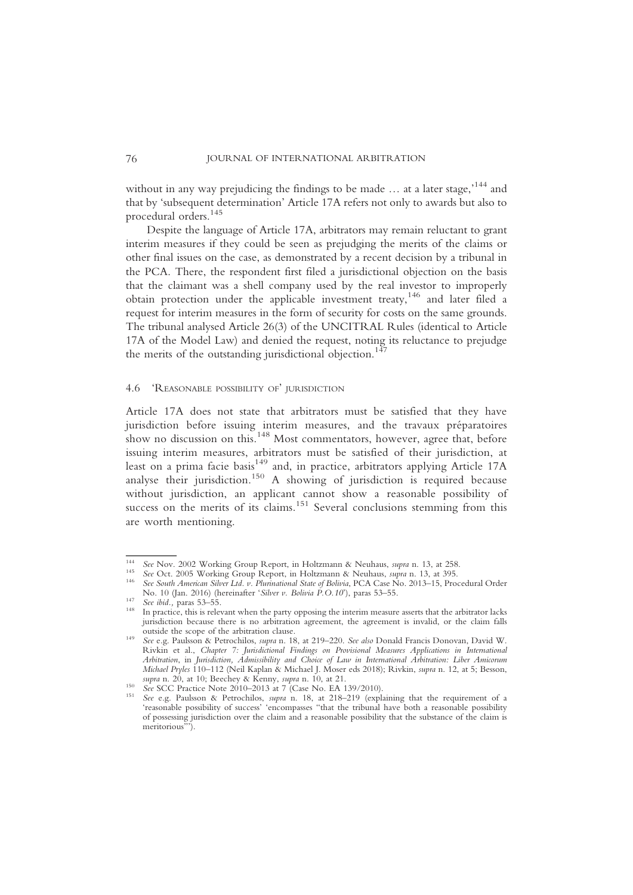without in any way prejudicing the findings to be made ... at a later stage,<sup>,144</sup> and that by 'subsequent determination' Article 17A refers not only to awards but also to procedural orders.<sup>145</sup>

Despite the language of Article 17A, arbitrators may remain reluctant to grant interim measures if they could be seen as prejudging the merits of the claims or other final issues on the case, as demonstrated by a recent decision by a tribunal in the PCA. There, the respondent first filed a jurisdictional objection on the basis that the claimant was a shell company used by the real investor to improperly obtain protection under the applicable investment treaty,<sup>146</sup> and later filed a request for interim measures in the form of security for costs on the same grounds. The tribunal analysed Article 26(3) of the UNCITRAL Rules (identical to Article 17A of the Model Law) and denied the request, noting its reluctance to prejudge the merits of the outstanding jurisdictional objection.<sup>1</sup>

#### 4.6 'REASONABLE POSSIBILITY OF' JURISDICTION

Article 17A does not state that arbitrators must be satisfied that they have jurisdiction before issuing interim measures, and the travaux préparatoires show no discussion on this.<sup>148</sup> Most commentators, however, agree that, before issuing interim measures, arbitrators must be satisfied of their jurisdiction, at least on a prima facie basis<sup>149</sup> and, in practice, arbitrators applying Article 17A analyse their jurisdiction.<sup>150</sup> A showing of jurisdiction is required because without jurisdiction, an applicant cannot show a reasonable possibility of success on the merits of its claims.<sup>151</sup> Several conclusions stemming from this are worth mentioning.

<sup>&</sup>lt;sup>144</sup> See Nov. 2002 Working Group Report, in Holtzmann & Neuhaus, *supra* n. 13, at 258.<br><sup>145</sup> See Oct. 2005 Working Group Report, in Holtzmann & Neuhaus, *supra* n. 13, at 395.<br><sup>146</sup> See South American Silver Ltd. v. Plur

No. 10 (Jan. 2016) (hereinafter 'Silver v. Bolivia P.O.10'), paras 53–55.<br><sup>147</sup> See ibid., paras 53–55. In practice, this is relevant when the party opposing the interim measure asserts that the arbitrator lacks jurisdiction because there is no arbitration agreement, the agreement is invalid, or the claim falls

outside the scope of the arbitration clause. <sup>149</sup> See e.g. Paulsson & Petrochilos, supra n. 18, at 219–220. See also Donald Francis Donovan, David W. Rivkin et al., Chapter 7: Jurisdictional Findings on Provisional Measures Applications in International Arbitration, in Jurisdiction, Admissibility and Choice of Law in International Arbitration: Liber Amicorum Michael Pryles 110–112 (Neil Kaplan & Michael J. Moser eds 2018); Rivkin, supra n. 12, at 5; Besson,

supra n. 20, at 10; Beechey & Kenny, supra n. 10, at 21.<br>
<sup>150</sup> See SCC Practice Note 2010–2013 at 7 (Case No. EA 139/2010).<br>
<sup>151</sup> See e.g. Paulsson & Petrochilos, *supra* n. 18, at 218–219 (explaining that the requiremen 'reasonable possibility of success' 'encompasses "that the tribunal have both a reasonable possibility of possessing jurisdiction over the claim and a reasonable possibility that the substance of the claim is meritorious<sup>?</sup>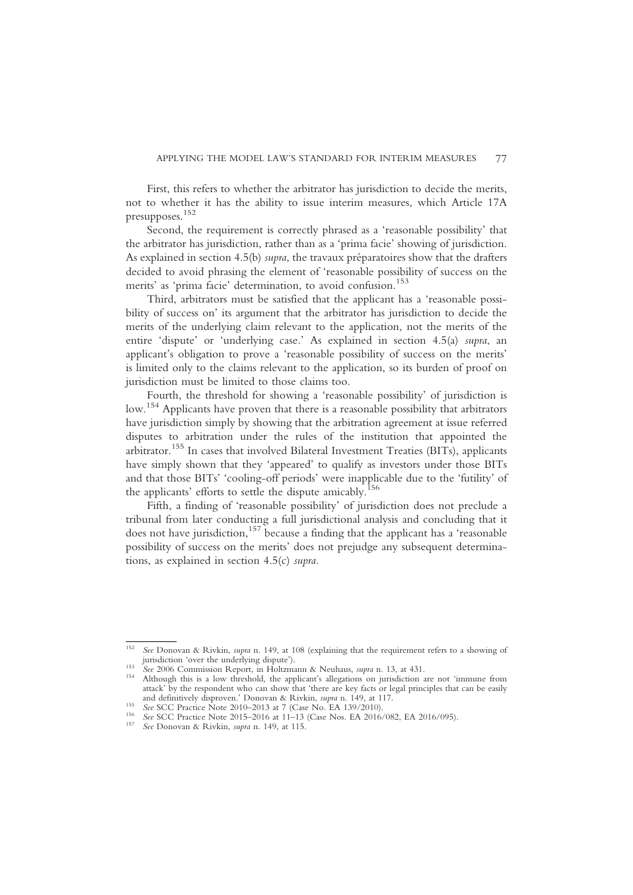First, this refers to whether the arbitrator has jurisdiction to decide the merits, not to whether it has the ability to issue interim measures, which Article 17A presupposes. 152

Second, the requirement is correctly phrased as a 'reasonable possibility' that the arbitrator has jurisdiction, rather than as a 'prima facie' showing of jurisdiction. As explained in section 4.5(b) supra, the travaux préparatoires show that the drafters decided to avoid phrasing the element of 'reasonable possibility of success on the merits' as 'prima facie' determination, to avoid confusion.<sup>153</sup>

Third, arbitrators must be satisfied that the applicant has a 'reasonable possibility of success on' its argument that the arbitrator has jurisdiction to decide the merits of the underlying claim relevant to the application, not the merits of the entire 'dispute' or 'underlying case.' As explained in section 4.5(a) supra, an applicant's obligation to prove a 'reasonable possibility of success on the merits' is limited only to the claims relevant to the application, so its burden of proof on jurisdiction must be limited to those claims too.

Fourth, the threshold for showing a 'reasonable possibility' of jurisdiction is low.154 Applicants have proven that there is a reasonable possibility that arbitrators have jurisdiction simply by showing that the arbitration agreement at issue referred disputes to arbitration under the rules of the institution that appointed the arbitrator.<sup>155</sup> In cases that involved Bilateral Investment Treaties (BITs), applicants have simply shown that they 'appeared' to qualify as investors under those BITs and that those BITs' 'cooling-off periods' were inapplicable due to the 'futility' of the applicants' efforts to settle the dispute amicably.<sup>156</sup>

Fifth, a finding of 'reasonable possibility' of jurisdiction does not preclude a tribunal from later conducting a full jurisdictional analysis and concluding that it does not have jurisdiction, $157$  because a finding that the applicant has a 'reasonable possibility of success on the merits' does not prejudge any subsequent determinations, as explained in section 4.5(c) supra.

<sup>&</sup>lt;sup>152</sup> See Donovan & Rivkin, *supra* n. 149, at 108 (explaining that the requirement refers to a showing of jurisdiction 'over the underlying dispute').

jurisdiction 'over the underlying dispute'). <sup>153</sup> See 2006 Commission Report, in Holtzmann & Neuhaus, supra n. 13, at 431. <sup>154</sup> Although this is a low threshold, the applicant's allegations on jurisdiction are not 'immune from attack' by the respondent who can show that 'there are key facts or legal principles that can be easily and definitively disproven.' Donovan & Rivkin, *supra* n. 149, at 117.

See SCC Practice Note 2010–2013 at 7 (Case No. EA 139/2010).<br>
<sup>156</sup> See SCC Practice Note 2010–2013 at 7 (Case No. EA 139/2010).<br>
<sup>156</sup> See SCC Practice Note 2015–2016 at 11–13 (Case Nos. EA 2016/082, EA 2016/095).<br>
<sup>157</sup>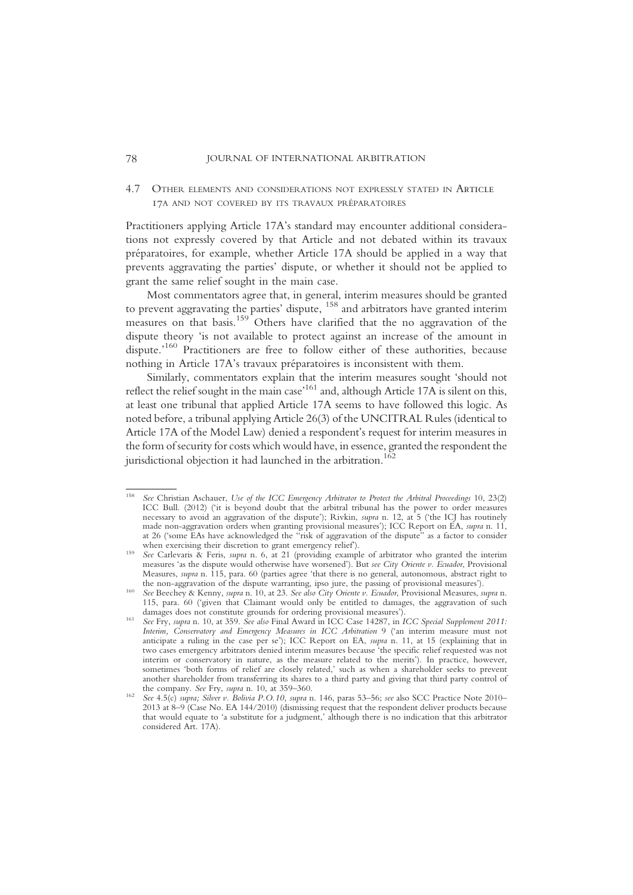### 4.7 OTHER ELEMENTS AND CONSIDERATIONS NOT EXPRESSLY STATED IN ARTICLE 17A AND NOT COVERED BY ITS TRAVAUX PRÉPARATOIRES

Practitioners applying Article 17A's standard may encounter additional considerations not expressly covered by that Article and not debated within its travaux préparatoires, for example, whether Article 17A should be applied in a way that prevents aggravating the parties' dispute, or whether it should not be applied to grant the same relief sought in the main case.

Most commentators agree that, in general, interim measures should be granted to prevent aggravating the parties' dispute, <sup>158</sup> and arbitrators have granted interim measures on that basis.<sup>159</sup> Others have clarified that the no aggravation of the dispute theory 'is not available to protect against an increase of the amount in dispute.<sup>160</sup> Practitioners are free to follow either of these authorities, because nothing in Article 17A's travaux préparatoires is inconsistent with them.

Similarly, commentators explain that the interim measures sought 'should not reflect the relief sought in the main case<sup>161</sup> and, although Article 17A is silent on this, at least one tribunal that applied Article 17A seems to have followed this logic. As noted before, a tribunal applying Article 26(3) of the UNCITRAL Rules (identical to Article 17A of the Model Law) denied a respondent's request for interim measures in the form of security for costs which would have, in essence, granted the respondent the jurisdictional objection it had launched in the arbitration.<sup>162</sup>

See Christian Aschauer, Use of the ICC Emergency Arbitrator to Protect the Arbitral Proceedings 10, 23(2) ICC Bull. (2012) ('it is beyond doubt that the arbitral tribunal has the power to order measures necessary to avoid an aggravation of the dispute'); Rivkin, supra n. 12, at 5 ('the ICJ has routinely made non-aggravation orders when granting provisional measures'); ICC Report on EA, supra n. 11, at 26 ('some EAs have acknowledged the "risk of aggravation of the dispute" as a factor to consider when exercising their discretion to grant emergency relief').

when exercising their discretion to grant emergency relief. The set of arbitrator who granted the interim measures 'as the dispute would otherwise have worsened'). But see City Oriente v. Ecuador, Provisional Measures, supra n. 115, para. 60 (parties agree 'that there is no general, autonomous, abstract right to

the non-aggravation of the dispute warranting, ipso jure, the passing of provisional measures').<br><sup>160</sup> See Beechey & Kenny, supra n. 10, at 23. See also City Oriente v. Ecuador, Provisional Measures, supra n. 115, para. 60 ('given that Claimant would only be entitled to damages, the aggravation of such

damages does not constitute grounds for ordering provisional measures').<br>
See Fry, supra n. 10, at 359. See also Final Award in ICC Case 14287, in ICC Special Supplement 2011: Interim, Conservatory and Emergency Measures in ICC Arbitration 9 ('an interim measure must not anticipate a ruling in the case per se'); ICC Report on EA, supra n. 11, at 15 (explaining that in two cases emergency arbitrators denied interim measures because 'the specific relief requested was not interim or conservatory in nature, as the measure related to the merits'). In practice, however, sometimes 'both forms of relief are closely related,' such as when a shareholder seeks to prevent another shareholder from transferring its shares to a third party and giving that third party control of the company. See Fry, supra n. 10, at 359-360.

the company. Set  $\epsilon_1$ ,  $\epsilon_2$ ,  $\epsilon_3$ ,  $\epsilon_4$ ,  $\epsilon_5$ ,  $\epsilon_6$ ,  $\epsilon_7$ ,  $\epsilon_8$ ,  $\epsilon_7$ ,  $\epsilon_8$ ,  $\epsilon_9$ ,  $\epsilon_9$ ,  $\epsilon_8$  also SCC Practice Note 2010– 2013 at 8–9 (Case No. EA 144/2010) (dismissing request that the respondent deliver products because that would equate to 'a substitute for a judgment,' although there is no indication that this arbitrator considered Art. 17A).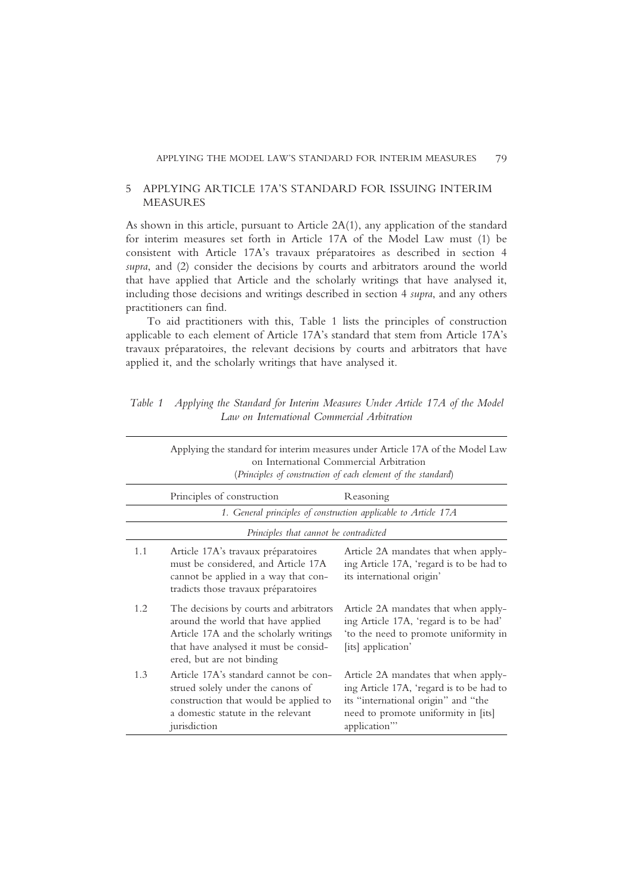### 5 APPLYING ARTICLE 17A'S STANDARD FOR ISSUING INTERIM MEASURES

As shown in this article, pursuant to Article 2A(1), any application of the standard for interim measures set forth in Article 17A of the Model Law must (1) be consistent with Article 17A's travaux préparatoires as described in section 4 supra, and (2) consider the decisions by courts and arbitrators around the world that have applied that Article and the scholarly writings that have analysed it, including those decisions and writings described in section 4 supra, and any others practitioners can find.

To aid practitioners with this, Table 1 lists the principles of construction applicable to each element of Article 17A's standard that stem from Article 17A's travaux préparatoires, the relevant decisions by courts and arbitrators that have applied it, and the scholarly writings that have analysed it.

|     | Applying the standard for interim measures under Article 17A of the Model Law<br>on International Commercial Arbitration<br>(Principles of construction of each element of the standard)      |                                                                                                                                                                                |  |
|-----|-----------------------------------------------------------------------------------------------------------------------------------------------------------------------------------------------|--------------------------------------------------------------------------------------------------------------------------------------------------------------------------------|--|
|     | Principles of construction                                                                                                                                                                    | Reasoning                                                                                                                                                                      |  |
|     |                                                                                                                                                                                               | 1. General principles of construction applicable to Article 17A                                                                                                                |  |
|     | Principles that cannot be contradicted                                                                                                                                                        |                                                                                                                                                                                |  |
| 1.1 | Article 17A's travaux préparatoires<br>must be considered, and Article 17A<br>cannot be applied in a way that con-<br>tradicts those travaux préparatoires                                    | Article 2A mandates that when apply-<br>ing Article 17A, 'regard is to be had to<br>its international origin'                                                                  |  |
| 1.2 | The decisions by courts and arbitrators<br>around the world that have applied<br>Article 17A and the scholarly writings<br>that have analysed it must be consid-<br>ered, but are not binding | Article 2A mandates that when apply-<br>ing Article 17A, 'regard is to be had'<br>'to the need to promote uniformity in<br>[its] application'                                  |  |
| 1.3 | Article 17A's standard cannot be con-<br>strued solely under the canons of<br>construction that would be applied to<br>a domestic statute in the relevant<br>jurisdiction                     | Article 2A mandates that when apply-<br>ing Article 17A, 'regard is to be had to<br>its "international origin" and "the<br>need to promote uniformity in [its]<br>application" |  |

Table 1 Applying the Standard for Interim Measures Under Article 17A of the Model Law on International Commercial Arbitration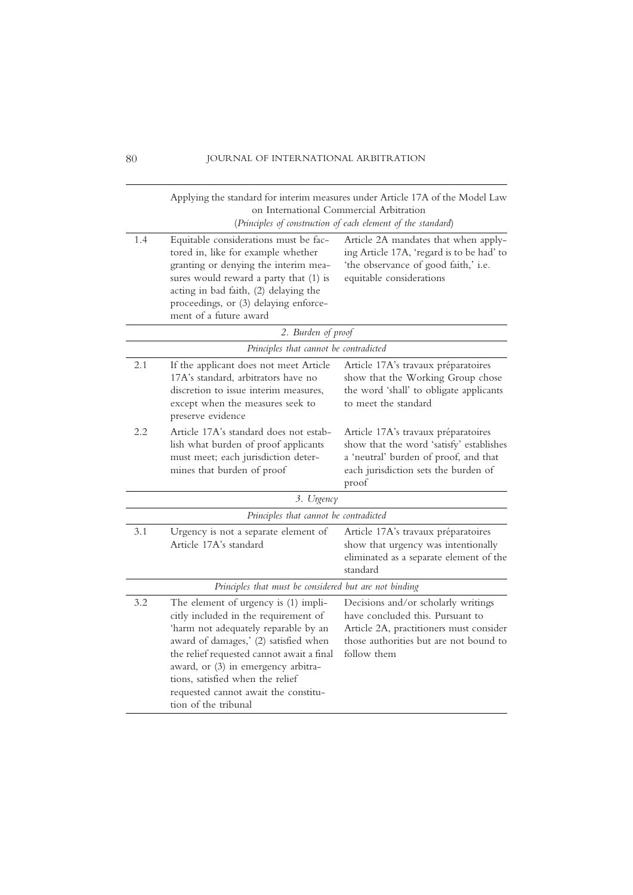|     | Applying the standard for interim measures under Article 17A of the Model Law<br>on International Commercial Arbitration<br>(Principles of construction of each element of the standard)                                                                                                                                                              |                                                                                                                                                                             |
|-----|-------------------------------------------------------------------------------------------------------------------------------------------------------------------------------------------------------------------------------------------------------------------------------------------------------------------------------------------------------|-----------------------------------------------------------------------------------------------------------------------------------------------------------------------------|
| 1.4 | Equitable considerations must be fac-<br>tored in, like for example whether<br>granting or denying the interim mea-<br>sures would reward a party that (1) is<br>acting in bad faith, (2) delaying the<br>proceedings, or (3) delaying enforce-<br>ment of a future award                                                                             | Article 2A mandates that when apply-<br>ing Article 17A, 'regard is to be had' to<br>'the observance of good faith,' i.e.<br>equitable considerations                       |
|     | 2. Burden of proof                                                                                                                                                                                                                                                                                                                                    |                                                                                                                                                                             |
|     | Principles that cannot be contradicted                                                                                                                                                                                                                                                                                                                |                                                                                                                                                                             |
| 2.1 | If the applicant does not meet Article<br>17A's standard, arbitrators have no<br>discretion to issue interim measures.<br>except when the measures seek to<br>preserve evidence                                                                                                                                                                       | Article 17A's travaux préparatoires<br>show that the Working Group chose<br>the word 'shall' to obligate applicants<br>to meet the standard                                 |
| 2.2 | Article 17A's standard does not estab-<br>lish what burden of proof applicants<br>must meet; each jurisdiction deter-<br>mines that burden of proof                                                                                                                                                                                                   | Article 17A's travaux préparatoires<br>show that the word 'satisfy' establishes<br>a 'neutral' burden of proof, and that<br>each jurisdiction sets the burden of<br>proof   |
|     | 3. Urgency                                                                                                                                                                                                                                                                                                                                            |                                                                                                                                                                             |
|     | Principles that cannot be contradicted                                                                                                                                                                                                                                                                                                                |                                                                                                                                                                             |
| 3.1 | Urgency is not a separate element of<br>Article 17A's standard                                                                                                                                                                                                                                                                                        | Article 17A's travaux préparatoires<br>show that urgency was intentionally<br>eliminated as a separate element of the<br>standard                                           |
|     | Principles that must be considered but are not binding                                                                                                                                                                                                                                                                                                |                                                                                                                                                                             |
| 3.2 | The element of urgency is (1) impli-<br>citly included in the requirement of<br>'harm not adequately reparable by an<br>award of damages,' (2) satisfied when<br>the relief requested cannot await a final<br>award, or (3) in emergency arbitra-<br>tions, satisfied when the relief<br>requested cannot await the constitu-<br>tion of the tribunal | Decisions and/or scholarly writings<br>have concluded this. Pursuant to<br>Article 2A, practitioners must consider<br>those authorities but are not bound to<br>follow them |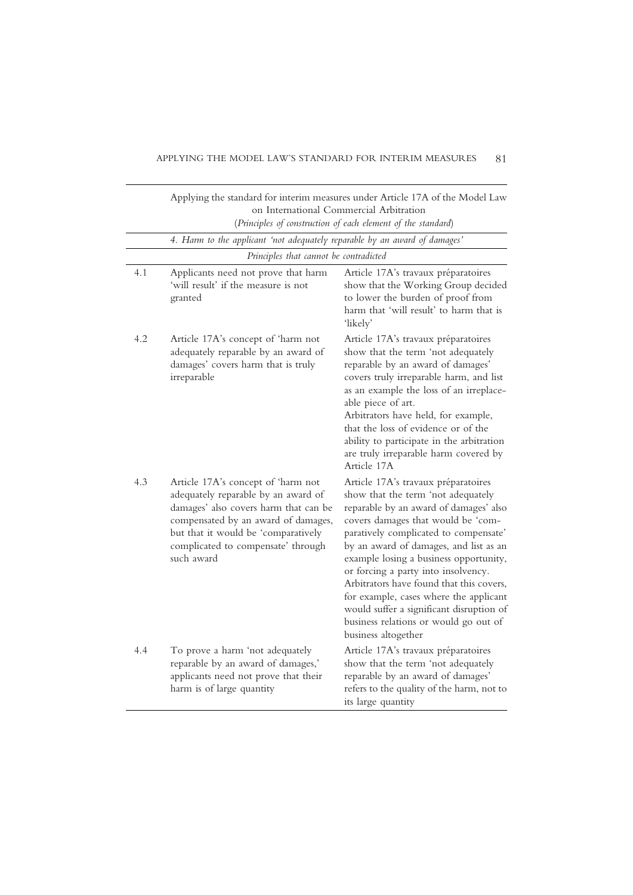|     |                                                                                                                                                                                                                                                      | Applying the standard for interim measures under Article 17A of the Model Law<br>on International Commercial Arbitration                                                                                                                                                                                                                                                                                                                                                                                                        |
|-----|------------------------------------------------------------------------------------------------------------------------------------------------------------------------------------------------------------------------------------------------------|---------------------------------------------------------------------------------------------------------------------------------------------------------------------------------------------------------------------------------------------------------------------------------------------------------------------------------------------------------------------------------------------------------------------------------------------------------------------------------------------------------------------------------|
|     |                                                                                                                                                                                                                                                      | (Principles of construction of each element of the standard)                                                                                                                                                                                                                                                                                                                                                                                                                                                                    |
|     | 4. Harm to the applicant 'not adequately reparable by an award of damages'                                                                                                                                                                           |                                                                                                                                                                                                                                                                                                                                                                                                                                                                                                                                 |
|     | Principles that cannot be contradicted                                                                                                                                                                                                               |                                                                                                                                                                                                                                                                                                                                                                                                                                                                                                                                 |
| 4.1 | Applicants need not prove that harm<br>'will result' if the measure is not<br>granted                                                                                                                                                                | Article 17A's travaux préparatoires<br>show that the Working Group decided<br>to lower the burden of proof from<br>harm that 'will result' to harm that is<br>'likely'                                                                                                                                                                                                                                                                                                                                                          |
| 4.2 | Article 17A's concept of 'harm not<br>adequately reparable by an award of<br>damages' covers harm that is truly<br>irreparable                                                                                                                       | Article 17A's travaux préparatoires<br>show that the term 'not adequately<br>reparable by an award of damages'<br>covers truly irreparable harm, and list<br>as an example the loss of an irreplace-<br>able piece of art.<br>Arbitrators have held, for example,<br>that the loss of evidence or of the<br>ability to participate in the arbitration<br>are truly irreparable harm covered by<br>Article 17A                                                                                                                   |
| 4.3 | Article 17A's concept of 'harm not<br>adequately reparable by an award of<br>damages' also covers harm that can be<br>compensated by an award of damages,<br>but that it would be 'comparatively<br>complicated to compensate' through<br>such award | Article 17A's travaux préparatoires<br>show that the term 'not adequately<br>reparable by an award of damages' also<br>covers damages that would be 'com-<br>paratively complicated to compensate'<br>by an award of damages, and list as an<br>example losing a business opportunity,<br>or forcing a party into insolvency.<br>Arbitrators have found that this covers,<br>for example, cases where the applicant<br>would suffer a significant disruption of<br>business relations or would go out of<br>business altogether |
| 4.4 | To prove a harm 'not adequately<br>reparable by an award of damages,'<br>applicants need not prove that their<br>harm is of large quantity                                                                                                           | Article 17A's travaux préparatoires<br>show that the term 'not adequately<br>reparable by an award of damages'<br>refers to the quality of the harm, not to<br>its large quantity                                                                                                                                                                                                                                                                                                                                               |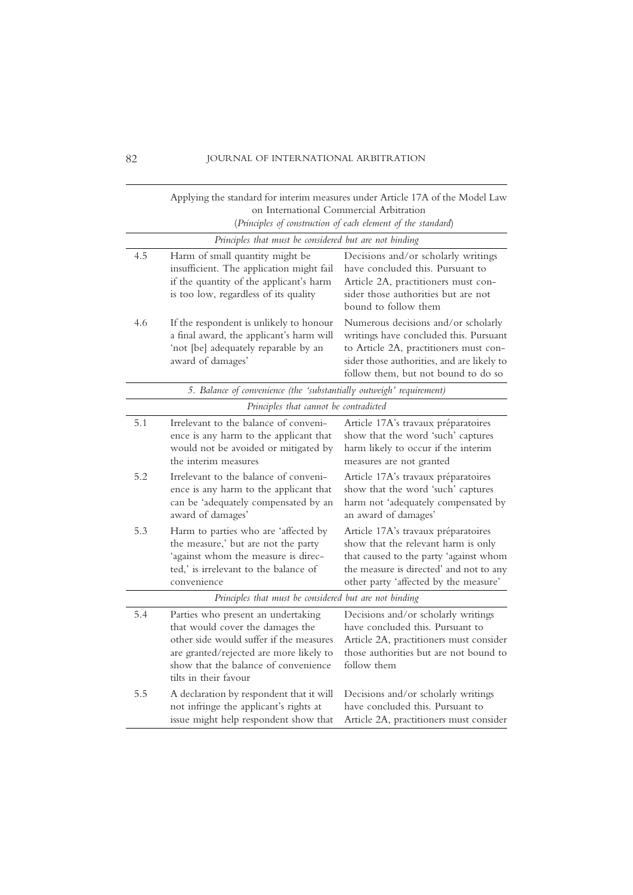|                                                        | Applying the standard for interim measures under Article 17A of the Model Law<br>on International Commercial Arbitration<br>(Principles of construction of each element of the standard)                                      |                                                                                                                                                                                                              |  |
|--------------------------------------------------------|-------------------------------------------------------------------------------------------------------------------------------------------------------------------------------------------------------------------------------|--------------------------------------------------------------------------------------------------------------------------------------------------------------------------------------------------------------|--|
|                                                        | Principles that must be considered but are not binding                                                                                                                                                                        |                                                                                                                                                                                                              |  |
| 4.5                                                    | Harm of small quantity might be<br>insufficient. The application might fail<br>if the quantity of the applicant's harm<br>is too low, regardless of its quality                                                               | Decisions and/or scholarly writings<br>have concluded this. Pursuant to<br>Article 2A, practitioners must con-<br>sider those authorities but are not<br>bound to follow them                                |  |
| 4.6                                                    | If the respondent is unlikely to honour<br>a final award, the applicant's harm will<br>'not [be] adequately reparable by an<br>award of damages'                                                                              | Numerous decisions and/or scholarly<br>writings have concluded this. Pursuant<br>to Article 2A, practitioners must con-<br>sider those authorities, and are likely to<br>follow them, but not bound to do so |  |
|                                                        | 5. Balance of convenience (the 'substantially outweigh' requirement)                                                                                                                                                          |                                                                                                                                                                                                              |  |
|                                                        | Principles that cannot be contradicted                                                                                                                                                                                        |                                                                                                                                                                                                              |  |
| 5.1                                                    | Irrelevant to the balance of conveni-<br>ence is any harm to the applicant that<br>would not be avoided or mitigated by<br>the interim measures                                                                               | Article 17A's travaux préparatoires<br>show that the word 'such' captures<br>harm likely to occur if the interim<br>measures are not granted                                                                 |  |
| 5.2                                                    | Irrelevant to the balance of conveni-<br>ence is any harm to the applicant that<br>can be 'adequately compensated by an<br>award of damages'                                                                                  | Article 17A's travaux préparatoires<br>show that the word 'such' captures<br>harm not 'adequately compensated by<br>an award of damages'                                                                     |  |
| 5.3                                                    | Harm to parties who are 'affected by<br>the measure,' but are not the party<br>'against whom the measure is direc-<br>ted,' is irrelevant to the balance of<br>convenience                                                    | Article 17A's travaux préparatoires<br>show that the relevant harm is only<br>that caused to the party 'against whom<br>the measure is directed' and not to any<br>other party 'affected by the measure'     |  |
| Principles that must be considered but are not binding |                                                                                                                                                                                                                               |                                                                                                                                                                                                              |  |
| 5.4                                                    | Parties who present an undertaking<br>that would cover the damages the<br>other side would suffer if the measures<br>are granted/rejected are more likely to<br>show that the balance of convenience<br>tilts in their favour | Decisions and/or scholarly writings<br>have concluded this. Pursuant to<br>Article 2A, practitioners must consider<br>those authorities but are not bound to<br>follow them                                  |  |
| 5.5                                                    | A declaration by respondent that it will<br>not infringe the applicant's rights at<br>issue might help respondent show that                                                                                                   | Decisions and/or scholarly writings<br>have concluded this. Pursuant to<br>Article 2A, practitioners must consider                                                                                           |  |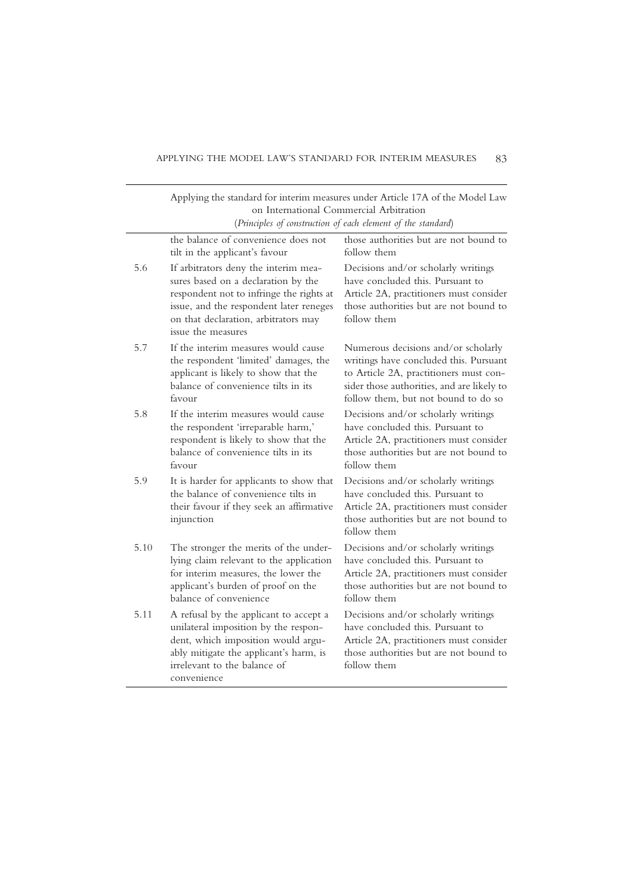|      | Applying the standard for interim measures under Article 17A of the Model Law<br>on International Commercial Arbitration<br>(Principles of construction of each element of the standard)                                         |                                                                                                                                                                                                              |
|------|----------------------------------------------------------------------------------------------------------------------------------------------------------------------------------------------------------------------------------|--------------------------------------------------------------------------------------------------------------------------------------------------------------------------------------------------------------|
|      | the balance of convenience does not<br>tilt in the applicant's favour                                                                                                                                                            | those authorities but are not bound to<br>follow them                                                                                                                                                        |
| 5.6  | If arbitrators deny the interim mea-<br>sures based on a declaration by the<br>respondent not to infringe the rights at<br>issue, and the respondent later reneges<br>on that declaration, arbitrators may<br>issue the measures | Decisions and/or scholarly writings<br>have concluded this. Pursuant to<br>Article 2A, practitioners must consider<br>those authorities but are not bound to<br>follow them                                  |
| 5.7  | If the interim measures would cause<br>the respondent 'limited' damages, the<br>applicant is likely to show that the<br>balance of convenience tilts in its<br>favour                                                            | Numerous decisions and/or scholarly<br>writings have concluded this. Pursuant<br>to Article 2A, practitioners must con-<br>sider those authorities, and are likely to<br>follow them, but not bound to do so |
| 5.8  | If the interim measures would cause<br>the respondent 'irreparable harm,'<br>respondent is likely to show that the<br>balance of convenience tilts in its<br>favour                                                              | Decisions and/or scholarly writings<br>have concluded this. Pursuant to<br>Article 2A, practitioners must consider<br>those authorities but are not bound to<br>follow them                                  |
| 5.9  | It is harder for applicants to show that<br>the balance of convenience tilts in<br>their favour if they seek an affirmative<br>injunction                                                                                        | Decisions and/or scholarly writings<br>have concluded this. Pursuant to<br>Article 2A, practitioners must consider<br>those authorities but are not bound to<br>follow them                                  |
| 5.10 | The stronger the merits of the under-<br>lying claim relevant to the application<br>for interim measures, the lower the<br>applicant's burden of proof on the<br>balance of convenience                                          | Decisions and/or scholarly writings<br>have concluded this. Pursuant to<br>Article 2A, practitioners must consider<br>those authorities but are not bound to<br>follow them                                  |
| 5.11 | A refusal by the applicant to accept a<br>unilateral imposition by the respon-<br>dent, which imposition would argu-<br>ably mitigate the applicant's harm, is<br>irrelevant to the balance of<br>convenience                    | Decisions and/or scholarly writings<br>have concluded this. Pursuant to<br>Article 2A, practitioners must consider<br>those authorities but are not bound to<br>follow them                                  |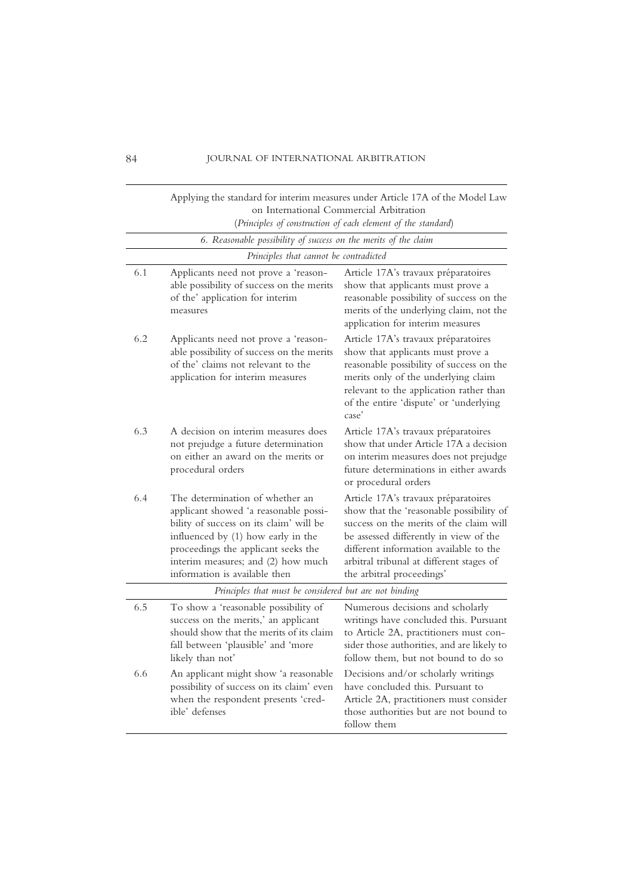|                                                                                                         | Applying the standard for interim measures under Article 17A of the Model Law                                                                                                                                                                                           |                                                                                                                                                                                                                                                                                         |  |
|---------------------------------------------------------------------------------------------------------|-------------------------------------------------------------------------------------------------------------------------------------------------------------------------------------------------------------------------------------------------------------------------|-----------------------------------------------------------------------------------------------------------------------------------------------------------------------------------------------------------------------------------------------------------------------------------------|--|
| on International Commercial Arbitration<br>(Principles of construction of each element of the standard) |                                                                                                                                                                                                                                                                         |                                                                                                                                                                                                                                                                                         |  |
|                                                                                                         | 6. Reasonable possibility of success on the merits of the claim                                                                                                                                                                                                         |                                                                                                                                                                                                                                                                                         |  |
|                                                                                                         | Principles that cannot be contradicted                                                                                                                                                                                                                                  |                                                                                                                                                                                                                                                                                         |  |
| 6.1                                                                                                     | Applicants need not prove a 'reason-<br>able possibility of success on the merits<br>of the' application for interim<br>measures                                                                                                                                        | Article 17A's travaux préparatoires<br>show that applicants must prove a<br>reasonable possibility of success on the<br>merits of the underlying claim, not the<br>application for interim measures                                                                                     |  |
| 6.2                                                                                                     | Applicants need not prove a 'reason-<br>able possibility of success on the merits<br>of the' claims not relevant to the<br>application for interim measures                                                                                                             | Article 17A's travaux préparatoires<br>show that applicants must prove a<br>reasonable possibility of success on the<br>merits only of the underlying claim<br>relevant to the application rather than<br>of the entire 'dispute' or 'underlying<br>case'                               |  |
| 6.3                                                                                                     | A decision on interim measures does<br>not prejudge a future determination<br>on either an award on the merits or<br>procedural orders                                                                                                                                  | Article 17A's travaux préparatoires<br>show that under Article 17A a decision<br>on interim measures does not prejudge<br>future determinations in either awards<br>or procedural orders                                                                                                |  |
| 6.4                                                                                                     | The determination of whether an<br>applicant showed 'a reasonable possi-<br>bility of success on its claim' will be<br>influenced by (1) how early in the<br>proceedings the applicant seeks the<br>interim measures; and (2) how much<br>information is available then | Article 17A's travaux préparatoires<br>show that the 'reasonable possibility of<br>success on the merits of the claim will<br>be assessed differently in view of the<br>different information available to the<br>arbitral tribunal at different stages of<br>the arbitral proceedings' |  |
| Principles that must be considered but are not binding                                                  |                                                                                                                                                                                                                                                                         |                                                                                                                                                                                                                                                                                         |  |
| 6.5                                                                                                     | To show a 'reasonable possibility of<br>success on the merits,' an applicant<br>should show that the merits of its claim<br>fall between 'plausible' and 'more<br>likely than not'                                                                                      | Numerous decisions and scholarly<br>writings have concluded this. Pursuant<br>to Article 2A, practitioners must con-<br>sider those authorities, and are likely to<br>follow them, but not bound to do so                                                                               |  |
| 6.6                                                                                                     | An applicant might show 'a reasonable<br>possibility of success on its claim' even<br>when the respondent presents 'cred-<br>ible' defenses                                                                                                                             | Decisions and/or scholarly writings<br>have concluded this. Pursuant to<br>Article 2A, practitioners must consider<br>those authorities but are not bound to<br>follow them                                                                                                             |  |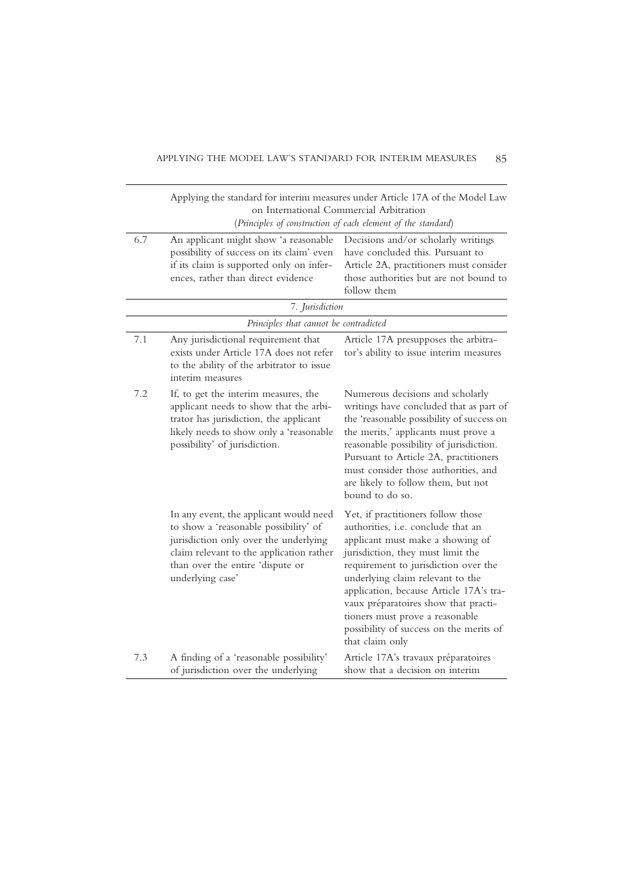|     |                                                                                                                                                                                                                              | Applying the standard for interim measures under Article 17A of the Model Law<br>on International Commercial Arbitration<br>(Principles of construction of each element of the standard)                                                                                                                                                                                                                          |
|-----|------------------------------------------------------------------------------------------------------------------------------------------------------------------------------------------------------------------------------|-------------------------------------------------------------------------------------------------------------------------------------------------------------------------------------------------------------------------------------------------------------------------------------------------------------------------------------------------------------------------------------------------------------------|
| 6.7 | An applicant might show 'a reasonable<br>possibility of success on its claim' even<br>if its claim is supported only on infer-<br>ences, rather than direct evidence                                                         | Decisions and/or scholarly writings<br>have concluded this. Pursuant to<br>Article 2A, practitioners must consider<br>those authorities but are not bound to<br>follow them                                                                                                                                                                                                                                       |
|     | 7. Jurisdiction                                                                                                                                                                                                              |                                                                                                                                                                                                                                                                                                                                                                                                                   |
|     | Principles that cannot be contradicted                                                                                                                                                                                       |                                                                                                                                                                                                                                                                                                                                                                                                                   |
| 7.1 | Any jurisdictional requirement that<br>exists under Article 17A does not refer<br>to the ability of the arbitrator to issue<br>interim measures                                                                              | Article 17A presupposes the arbitra-<br>tor's ability to issue interim measures                                                                                                                                                                                                                                                                                                                                   |
| 7.2 | If, to get the interim measures, the<br>applicant needs to show that the arbi-<br>trator has jurisdiction, the applicant<br>likely needs to show only a 'reasonable<br>possibility' of jurisdiction.                         | Numerous decisions and scholarly<br>writings have concluded that as part of<br>the 'reasonable possibility of success on<br>the merits,' applicants must prove a<br>reasonable possibility of jurisdiction.<br>Pursuant to Article 2A, practitioners<br>must consider those authorities, and<br>are likely to follow them, but not<br>bound to do so.                                                             |
|     | In any event, the applicant would need<br>to show a 'reasonable possibility' of<br>jurisdiction only over the underlying<br>claim relevant to the application rather<br>than over the entire 'dispute or<br>underlying case' | Yet, if practitioners follow those<br>authorities, i.e. conclude that an<br>applicant must make a showing of<br>jurisdiction, they must limit the<br>requirement to jurisdiction over the<br>underlying claim relevant to the<br>application, because Article 17A's tra-<br>vaux préparatoires show that practi-<br>tioners must prove a reasonable<br>possibility of success on the merits of<br>that claim only |
| 7.3 | A finding of a 'reasonable possibility'<br>of jurisdiction over the underlying                                                                                                                                               | Article 17A's travaux préparatoires<br>show that a decision on interim                                                                                                                                                                                                                                                                                                                                            |